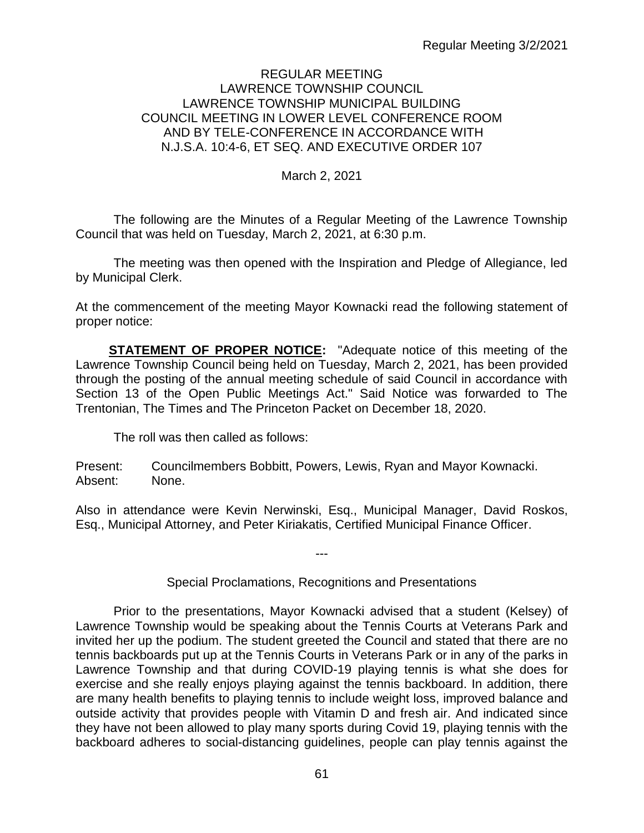### REGULAR MEETING LAWRENCE TOWNSHIP COUNCIL LAWRENCE TOWNSHIP MUNICIPAL BUILDING COUNCIL MEETING IN LOWER LEVEL CONFERENCE ROOM AND BY TELE-CONFERENCE IN ACCORDANCE WITH N.J.S.A. 10:4-6, ET SEQ. AND EXECUTIVE ORDER 107

### March 2, 2021

The following are the Minutes of a Regular Meeting of the Lawrence Township Council that was held on Tuesday, March 2, 2021, at 6:30 p.m.

The meeting was then opened with the Inspiration and Pledge of Allegiance, led by Municipal Clerk.

At the commencement of the meeting Mayor Kownacki read the following statement of proper notice:

**STATEMENT OF PROPER NOTICE:** "Adequate notice of this meeting of the Lawrence Township Council being held on Tuesday, March 2, 2021, has been provided through the posting of the annual meeting schedule of said Council in accordance with Section 13 of the Open Public Meetings Act." Said Notice was forwarded to The Trentonian, The Times and The Princeton Packet on December 18, 2020.

The roll was then called as follows:

Present: Councilmembers Bobbitt, Powers, Lewis, Ryan and Mayor Kownacki. Absent: None.

Also in attendance were Kevin Nerwinski, Esq., Municipal Manager, David Roskos, Esq., Municipal Attorney, and Peter Kiriakatis, Certified Municipal Finance Officer.

---

### Special Proclamations, Recognitions and Presentations

Prior to the presentations, Mayor Kownacki advised that a student (Kelsey) of Lawrence Township would be speaking about the Tennis Courts at Veterans Park and invited her up the podium. The student greeted the Council and stated that there are no tennis backboards put up at the Tennis Courts in Veterans Park or in any of the parks in Lawrence Township and that during COVID-19 playing tennis is what she does for exercise and she really enjoys playing against the tennis backboard. In addition, there are many health benefits to playing tennis to include weight loss, improved balance and outside activity that provides people with Vitamin D and fresh air. And indicated since they have not been allowed to play many sports during Covid 19, playing tennis with the backboard adheres to social-distancing guidelines, people can play tennis against the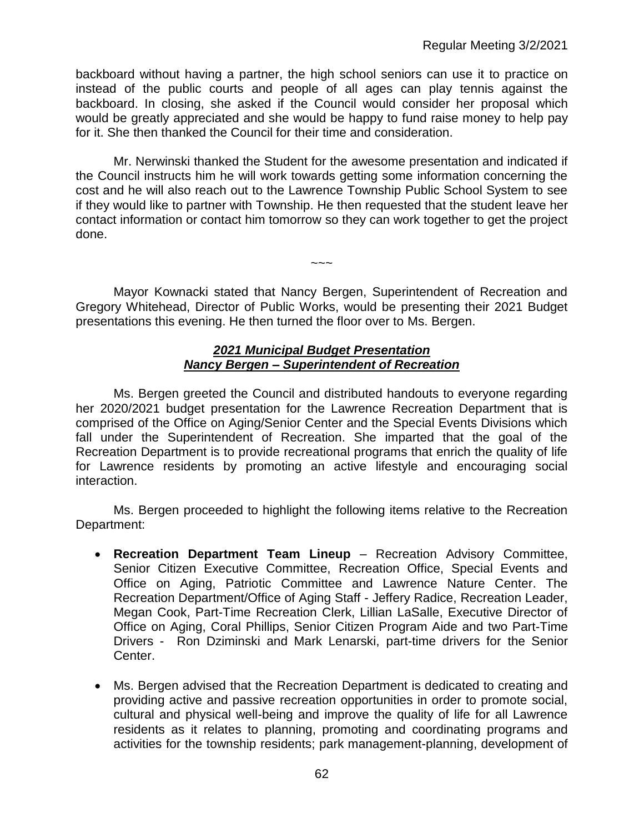backboard without having a partner, the high school seniors can use it to practice on instead of the public courts and people of all ages can play tennis against the backboard. In closing, she asked if the Council would consider her proposal which would be greatly appreciated and she would be happy to fund raise money to help pay for it. She then thanked the Council for their time and consideration.

Mr. Nerwinski thanked the Student for the awesome presentation and indicated if the Council instructs him he will work towards getting some information concerning the cost and he will also reach out to the Lawrence Township Public School System to see if they would like to partner with Township. He then requested that the student leave her contact information or contact him tomorrow so they can work together to get the project done.

Mayor Kownacki stated that Nancy Bergen, Superintendent of Recreation and Gregory Whitehead, Director of Public Works, would be presenting their 2021 Budget presentations this evening. He then turned the floor over to Ms. Bergen.

 $\sim\sim\sim$ 

#### *2021 Municipal Budget Presentation Nancy Bergen – Superintendent of Recreation*

Ms. Bergen greeted the Council and distributed handouts to everyone regarding her 2020/2021 budget presentation for the Lawrence Recreation Department that is comprised of the Office on Aging/Senior Center and the Special Events Divisions which fall under the Superintendent of Recreation. She imparted that the goal of the Recreation Department is to provide recreational programs that enrich the quality of life for Lawrence residents by promoting an active lifestyle and encouraging social interaction.

Ms. Bergen proceeded to highlight the following items relative to the Recreation Department:

- **Recreation Department Team Lineup** Recreation Advisory Committee, Senior Citizen Executive Committee, Recreation Office, Special Events and Office on Aging, Patriotic Committee and Lawrence Nature Center. The Recreation Department/Office of Aging Staff - Jeffery Radice, Recreation Leader, Megan Cook, Part-Time Recreation Clerk, Lillian LaSalle, Executive Director of Office on Aging, Coral Phillips, Senior Citizen Program Aide and two Part-Time Drivers - Ron Dziminski and Mark Lenarski, part-time drivers for the Senior Center.
- Ms. Bergen advised that the Recreation Department is dedicated to creating and providing active and passive recreation opportunities in order to promote social, cultural and physical well-being and improve the quality of life for all Lawrence residents as it relates to planning, promoting and coordinating programs and activities for the township residents; park management-planning, development of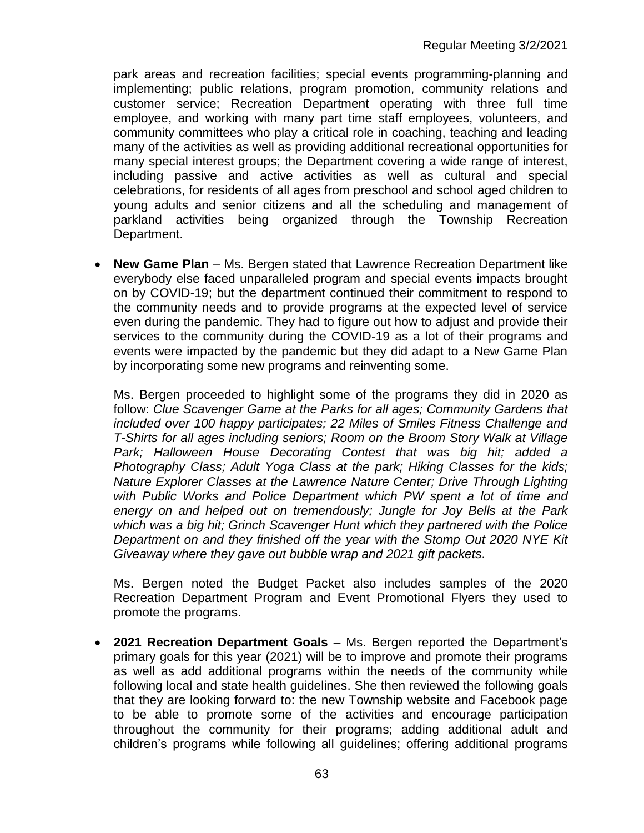park areas and recreation facilities; special events programming-planning and implementing; public relations, program promotion, community relations and customer service; Recreation Department operating with three full time employee, and working with many part time staff employees, volunteers, and community committees who play a critical role in coaching, teaching and leading many of the activities as well as providing additional recreational opportunities for many special interest groups; the Department covering a wide range of interest, including passive and active activities as well as cultural and special celebrations, for residents of all ages from preschool and school aged children to young adults and senior citizens and all the scheduling and management of parkland activities being organized through the Township Recreation Department.

• **New Game Plan** – Ms. Bergen stated that Lawrence Recreation Department like everybody else faced unparalleled program and special events impacts brought on by COVID-19; but the department continued their commitment to respond to the community needs and to provide programs at the expected level of service even during the pandemic. They had to figure out how to adjust and provide their services to the community during the COVID-19 as a lot of their programs and events were impacted by the pandemic but they did adapt to a New Game Plan by incorporating some new programs and reinventing some.

Ms. Bergen proceeded to highlight some of the programs they did in 2020 as follow: *Clue Scavenger Game at the Parks for all ages; Community Gardens that included over 100 happy participates; 22 Miles of Smiles Fitness Challenge and T-Shirts for all ages including seniors; Room on the Broom Story Walk at Village Park; Halloween House Decorating Contest that was big hit; added a Photography Class; Adult Yoga Class at the park; Hiking Classes for the kids; Nature Explorer Classes at the Lawrence Nature Center; Drive Through Lighting with Public Works and Police Department which PW spent a lot of time and energy on and helped out on tremendously; Jungle for Joy Bells at the Park which was a big hit; Grinch Scavenger Hunt which they partnered with the Police Department on and they finished off the year with the Stomp Out 2020 NYE Kit Giveaway where they gave out bubble wrap and 2021 gift packets.* 

Ms. Bergen noted the Budget Packet also includes samples of the 2020 Recreation Department Program and Event Promotional Flyers they used to promote the programs.

• **2021 Recreation Department Goals** – Ms. Bergen reported the Department's primary goals for this year (2021) will be to improve and promote their programs as well as add additional programs within the needs of the community while following local and state health guidelines. She then reviewed the following goals that they are looking forward to: the new Township website and Facebook page to be able to promote some of the activities and encourage participation throughout the community for their programs; adding additional adult and children's programs while following all guidelines; offering additional programs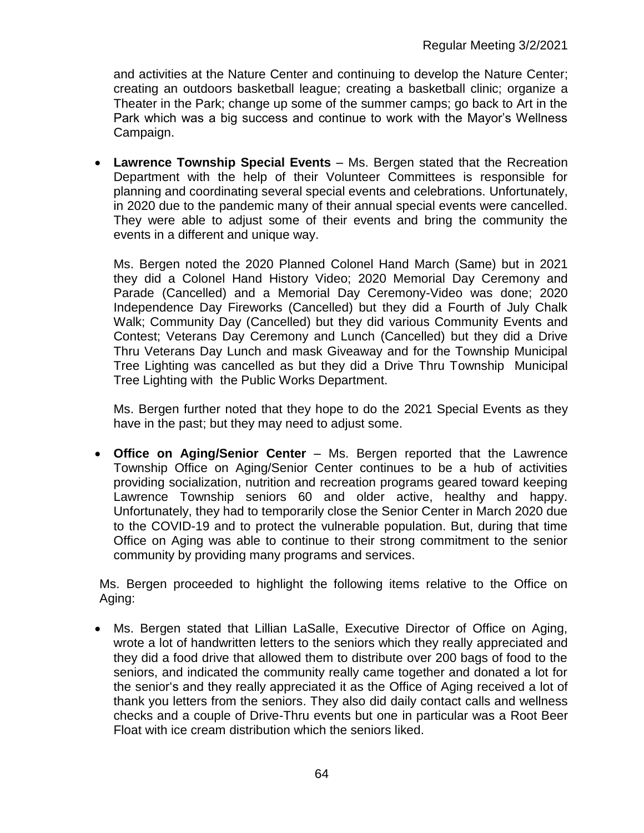and activities at the Nature Center and continuing to develop the Nature Center; creating an outdoors basketball league; creating a basketball clinic; organize a Theater in the Park; change up some of the summer camps; go back to Art in the Park which was a big success and continue to work with the Mayor's Wellness Campaign.

• **Lawrence Township Special Events** – Ms. Bergen stated that the Recreation Department with the help of their Volunteer Committees is responsible for planning and coordinating several special events and celebrations. Unfortunately, in 2020 due to the pandemic many of their annual special events were cancelled. They were able to adjust some of their events and bring the community the events in a different and unique way.

Ms. Bergen noted the 2020 Planned Colonel Hand March (Same) but in 2021 they did a Colonel Hand History Video; 2020 Memorial Day Ceremony and Parade (Cancelled) and a Memorial Day Ceremony-Video was done; 2020 Independence Day Fireworks (Cancelled) but they did a Fourth of July Chalk Walk; Community Day (Cancelled) but they did various Community Events and Contest; Veterans Day Ceremony and Lunch (Cancelled) but they did a Drive Thru Veterans Day Lunch and mask Giveaway and for the Township Municipal Tree Lighting was cancelled as but they did a Drive Thru Township Municipal Tree Lighting with the Public Works Department.

Ms. Bergen further noted that they hope to do the 2021 Special Events as they have in the past; but they may need to adjust some.

• **Office on Aging/Senior Center** – Ms. Bergen reported that the Lawrence Township Office on Aging/Senior Center continues to be a hub of activities providing socialization, nutrition and recreation programs geared toward keeping Lawrence Township seniors 60 and older active, healthy and happy. Unfortunately, they had to temporarily close the Senior Center in March 2020 due to the COVID-19 and to protect the vulnerable population. But, during that time Office on Aging was able to continue to their strong commitment to the senior community by providing many programs and services.

Ms. Bergen proceeded to highlight the following items relative to the Office on Aging:

• Ms. Bergen stated that Lillian LaSalle, Executive Director of Office on Aging, wrote a lot of handwritten letters to the seniors which they really appreciated and they did a food drive that allowed them to distribute over 200 bags of food to the seniors, and indicated the community really came together and donated a lot for the senior's and they really appreciated it as the Office of Aging received a lot of thank you letters from the seniors. They also did daily contact calls and wellness checks and a couple of Drive-Thru events but one in particular was a Root Beer Float with ice cream distribution which the seniors liked.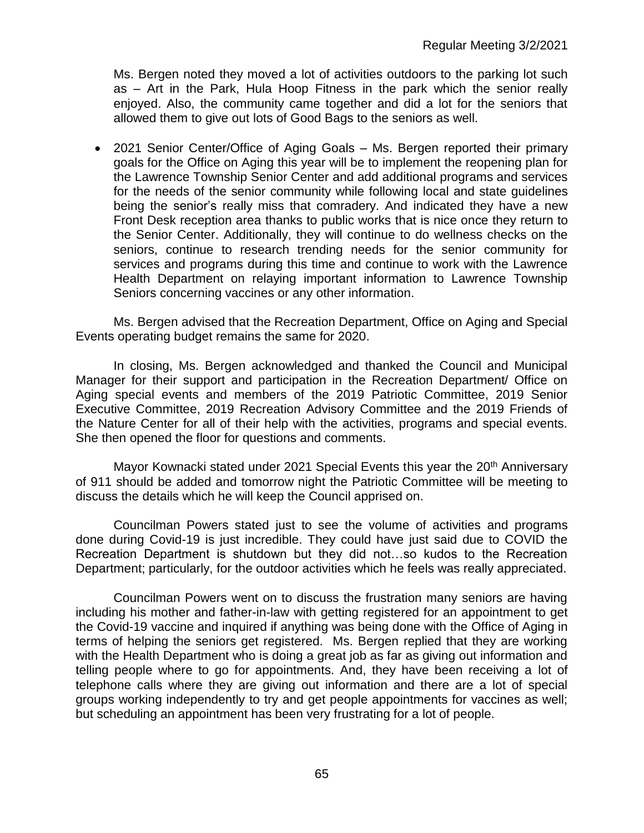Ms. Bergen noted they moved a lot of activities outdoors to the parking lot such as – Art in the Park, Hula Hoop Fitness in the park which the senior really enjoyed. Also, the community came together and did a lot for the seniors that allowed them to give out lots of Good Bags to the seniors as well.

• 2021 Senior Center/Office of Aging Goals – Ms. Bergen reported their primary goals for the Office on Aging this year will be to implement the reopening plan for the Lawrence Township Senior Center and add additional programs and services for the needs of the senior community while following local and state guidelines being the senior's really miss that comradery. And indicated they have a new Front Desk reception area thanks to public works that is nice once they return to the Senior Center. Additionally, they will continue to do wellness checks on the seniors, continue to research trending needs for the senior community for services and programs during this time and continue to work with the Lawrence Health Department on relaying important information to Lawrence Township Seniors concerning vaccines or any other information.

Ms. Bergen advised that the Recreation Department, Office on Aging and Special Events operating budget remains the same for 2020.

In closing, Ms. Bergen acknowledged and thanked the Council and Municipal Manager for their support and participation in the Recreation Department/ Office on Aging special events and members of the 2019 Patriotic Committee, 2019 Senior Executive Committee, 2019 Recreation Advisory Committee and the 2019 Friends of the Nature Center for all of their help with the activities, programs and special events. She then opened the floor for questions and comments.

Mayor Kownacki stated under 2021 Special Events this year the 20<sup>th</sup> Anniversary of 911 should be added and tomorrow night the Patriotic Committee will be meeting to discuss the details which he will keep the Council apprised on.

Councilman Powers stated just to see the volume of activities and programs done during Covid-19 is just incredible. They could have just said due to COVID the Recreation Department is shutdown but they did not…so kudos to the Recreation Department; particularly, for the outdoor activities which he feels was really appreciated.

Councilman Powers went on to discuss the frustration many seniors are having including his mother and father-in-law with getting registered for an appointment to get the Covid-19 vaccine and inquired if anything was being done with the Office of Aging in terms of helping the seniors get registered. Ms. Bergen replied that they are working with the Health Department who is doing a great job as far as giving out information and telling people where to go for appointments. And, they have been receiving a lot of telephone calls where they are giving out information and there are a lot of special groups working independently to try and get people appointments for vaccines as well; but scheduling an appointment has been very frustrating for a lot of people.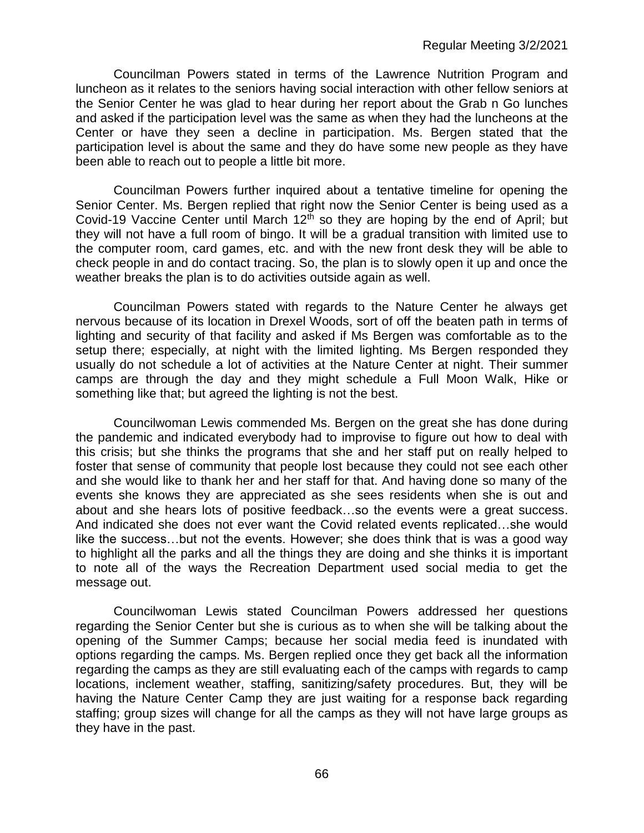Councilman Powers stated in terms of the Lawrence Nutrition Program and luncheon as it relates to the seniors having social interaction with other fellow seniors at the Senior Center he was glad to hear during her report about the Grab n Go lunches and asked if the participation level was the same as when they had the luncheons at the Center or have they seen a decline in participation. Ms. Bergen stated that the participation level is about the same and they do have some new people as they have been able to reach out to people a little bit more.

Councilman Powers further inquired about a tentative timeline for opening the Senior Center. Ms. Bergen replied that right now the Senior Center is being used as a Covid-19 Vaccine Center until March  $12<sup>th</sup>$  so they are hoping by the end of April; but they will not have a full room of bingo. It will be a gradual transition with limited use to the computer room, card games, etc. and with the new front desk they will be able to check people in and do contact tracing. So, the plan is to slowly open it up and once the weather breaks the plan is to do activities outside again as well.

Councilman Powers stated with regards to the Nature Center he always get nervous because of its location in Drexel Woods, sort of off the beaten path in terms of lighting and security of that facility and asked if Ms Bergen was comfortable as to the setup there; especially, at night with the limited lighting. Ms Bergen responded they usually do not schedule a lot of activities at the Nature Center at night. Their summer camps are through the day and they might schedule a Full Moon Walk, Hike or something like that; but agreed the lighting is not the best.

Councilwoman Lewis commended Ms. Bergen on the great she has done during the pandemic and indicated everybody had to improvise to figure out how to deal with this crisis; but she thinks the programs that she and her staff put on really helped to foster that sense of community that people lost because they could not see each other and she would like to thank her and her staff for that. And having done so many of the events she knows they are appreciated as she sees residents when she is out and about and she hears lots of positive feedback…so the events were a great success. And indicated she does not ever want the Covid related events replicated…she would like the success…but not the events. However; she does think that is was a good way to highlight all the parks and all the things they are doing and she thinks it is important to note all of the ways the Recreation Department used social media to get the message out.

Councilwoman Lewis stated Councilman Powers addressed her questions regarding the Senior Center but she is curious as to when she will be talking about the opening of the Summer Camps; because her social media feed is inundated with options regarding the camps. Ms. Bergen replied once they get back all the information regarding the camps as they are still evaluating each of the camps with regards to camp locations, inclement weather, staffing, sanitizing/safety procedures. But, they will be having the Nature Center Camp they are just waiting for a response back regarding staffing; group sizes will change for all the camps as they will not have large groups as they have in the past.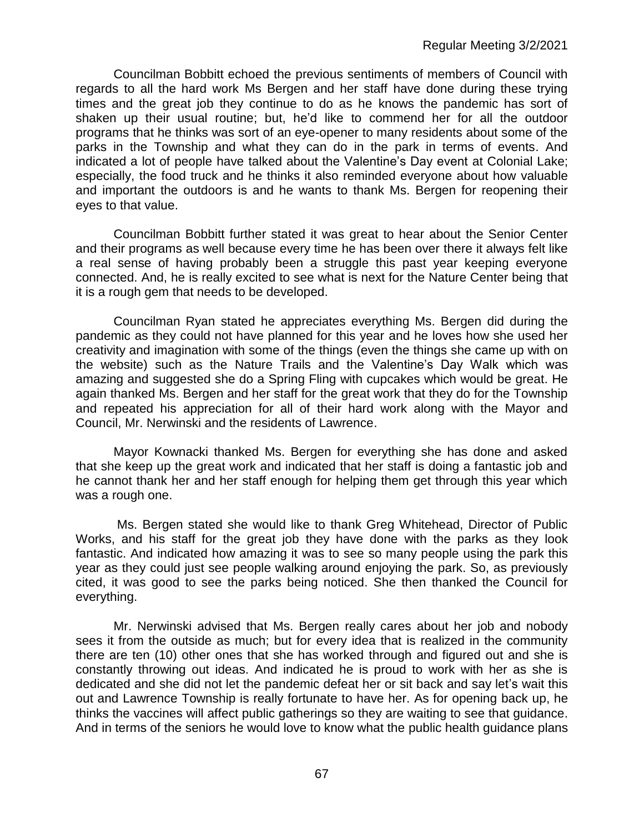Councilman Bobbitt echoed the previous sentiments of members of Council with regards to all the hard work Ms Bergen and her staff have done during these trying times and the great job they continue to do as he knows the pandemic has sort of shaken up their usual routine; but, he'd like to commend her for all the outdoor programs that he thinks was sort of an eye-opener to many residents about some of the parks in the Township and what they can do in the park in terms of events. And indicated a lot of people have talked about the Valentine's Day event at Colonial Lake; especially, the food truck and he thinks it also reminded everyone about how valuable and important the outdoors is and he wants to thank Ms. Bergen for reopening their eyes to that value.

Councilman Bobbitt further stated it was great to hear about the Senior Center and their programs as well because every time he has been over there it always felt like a real sense of having probably been a struggle this past year keeping everyone connected. And, he is really excited to see what is next for the Nature Center being that it is a rough gem that needs to be developed.

Councilman Ryan stated he appreciates everything Ms. Bergen did during the pandemic as they could not have planned for this year and he loves how she used her creativity and imagination with some of the things (even the things she came up with on the website) such as the Nature Trails and the Valentine's Day Walk which was amazing and suggested she do a Spring Fling with cupcakes which would be great. He again thanked Ms. Bergen and her staff for the great work that they do for the Township and repeated his appreciation for all of their hard work along with the Mayor and Council, Mr. Nerwinski and the residents of Lawrence.

Mayor Kownacki thanked Ms. Bergen for everything she has done and asked that she keep up the great work and indicated that her staff is doing a fantastic job and he cannot thank her and her staff enough for helping them get through this year which was a rough one.

Ms. Bergen stated she would like to thank Greg Whitehead, Director of Public Works, and his staff for the great job they have done with the parks as they look fantastic. And indicated how amazing it was to see so many people using the park this year as they could just see people walking around enjoying the park. So, as previously cited, it was good to see the parks being noticed. She then thanked the Council for everything.

Mr. Nerwinski advised that Ms. Bergen really cares about her job and nobody sees it from the outside as much; but for every idea that is realized in the community there are ten (10) other ones that she has worked through and figured out and she is constantly throwing out ideas. And indicated he is proud to work with her as she is dedicated and she did not let the pandemic defeat her or sit back and say let's wait this out and Lawrence Township is really fortunate to have her. As for opening back up, he thinks the vaccines will affect public gatherings so they are waiting to see that guidance. And in terms of the seniors he would love to know what the public health guidance plans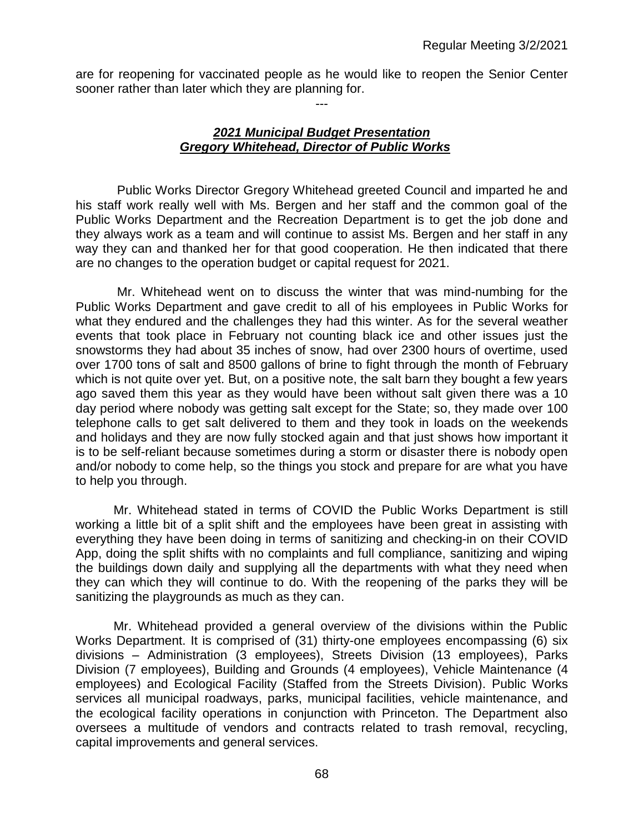are for reopening for vaccinated people as he would like to reopen the Senior Center sooner rather than later which they are planning for.

---

### *2021 Municipal Budget Presentation Gregory Whitehead, Director of Public Works*

Public Works Director Gregory Whitehead greeted Council and imparted he and his staff work really well with Ms. Bergen and her staff and the common goal of the Public Works Department and the Recreation Department is to get the job done and they always work as a team and will continue to assist Ms. Bergen and her staff in any way they can and thanked her for that good cooperation. He then indicated that there are no changes to the operation budget or capital request for 2021.

Mr. Whitehead went on to discuss the winter that was mind-numbing for the Public Works Department and gave credit to all of his employees in Public Works for what they endured and the challenges they had this winter. As for the several weather events that took place in February not counting black ice and other issues just the snowstorms they had about 35 inches of snow, had over 2300 hours of overtime, used over 1700 tons of salt and 8500 gallons of brine to fight through the month of February which is not quite over yet. But, on a positive note, the salt barn they bought a few years ago saved them this year as they would have been without salt given there was a 10 day period where nobody was getting salt except for the State; so, they made over 100 telephone calls to get salt delivered to them and they took in loads on the weekends and holidays and they are now fully stocked again and that just shows how important it is to be self-reliant because sometimes during a storm or disaster there is nobody open and/or nobody to come help, so the things you stock and prepare for are what you have to help you through.

Mr. Whitehead stated in terms of COVID the Public Works Department is still working a little bit of a split shift and the employees have been great in assisting with everything they have been doing in terms of sanitizing and checking-in on their COVID App, doing the split shifts with no complaints and full compliance, sanitizing and wiping the buildings down daily and supplying all the departments with what they need when they can which they will continue to do. With the reopening of the parks they will be sanitizing the playgrounds as much as they can.

Mr. Whitehead provided a general overview of the divisions within the Public Works Department. It is comprised of (31) thirty-one employees encompassing (6) six divisions – Administration (3 employees), Streets Division (13 employees), Parks Division (7 employees), Building and Grounds (4 employees), Vehicle Maintenance (4 employees) and Ecological Facility (Staffed from the Streets Division). Public Works services all municipal roadways, parks, municipal facilities, vehicle maintenance, and the ecological facility operations in conjunction with Princeton. The Department also oversees a multitude of vendors and contracts related to trash removal, recycling, capital improvements and general services.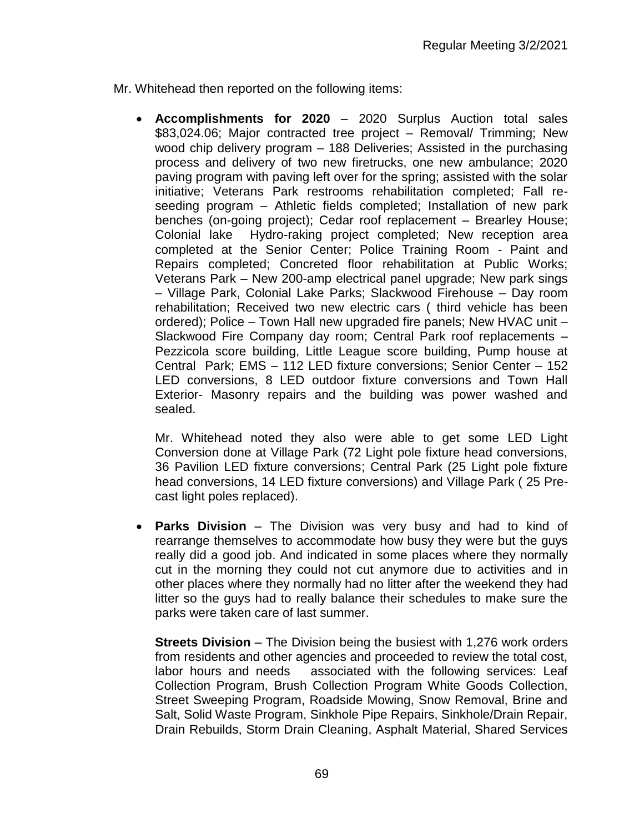Mr. Whitehead then reported on the following items:

• **Accomplishments for 2020** – 2020 Surplus Auction total sales \$83,024.06; Major contracted tree project – Removal/ Trimming; New wood chip delivery program – 188 Deliveries; Assisted in the purchasing process and delivery of two new firetrucks, one new ambulance; 2020 paving program with paving left over for the spring; assisted with the solar initiative; Veterans Park restrooms rehabilitation completed; Fall reseeding program – Athletic fields completed; Installation of new park benches (on-going project); Cedar roof replacement – Brearley House; Colonial lake Hydro-raking project completed; New reception area completed at the Senior Center; Police Training Room - Paint and Repairs completed; Concreted floor rehabilitation at Public Works; Veterans Park – New 200-amp electrical panel upgrade; New park sings – Village Park, Colonial Lake Parks; Slackwood Firehouse – Day room rehabilitation; Received two new electric cars ( third vehicle has been ordered); Police – Town Hall new upgraded fire panels; New HVAC unit – Slackwood Fire Company day room; Central Park roof replacements – Pezzicola score building, Little League score building, Pump house at Central Park; EMS – 112 LED fixture conversions; Senior Center – 152 LED conversions, 8 LED outdoor fixture conversions and Town Hall Exterior- Masonry repairs and the building was power washed and sealed.

Mr. Whitehead noted they also were able to get some LED Light Conversion done at Village Park (72 Light pole fixture head conversions, 36 Pavilion LED fixture conversions; Central Park (25 Light pole fixture head conversions, 14 LED fixture conversions) and Village Park ( 25 Precast light poles replaced).

• **Parks Division** – The Division was very busy and had to kind of rearrange themselves to accommodate how busy they were but the guys really did a good job. And indicated in some places where they normally cut in the morning they could not cut anymore due to activities and in other places where they normally had no litter after the weekend they had litter so the guys had to really balance their schedules to make sure the parks were taken care of last summer.

**Streets Division** – The Division being the busiest with 1,276 work orders from residents and other agencies and proceeded to review the total cost, labor hours and needs associated with the following services: Leaf Collection Program, Brush Collection Program White Goods Collection, Street Sweeping Program, Roadside Mowing, Snow Removal, Brine and Salt, Solid Waste Program, Sinkhole Pipe Repairs, Sinkhole/Drain Repair, Drain Rebuilds, Storm Drain Cleaning, Asphalt Material, Shared Services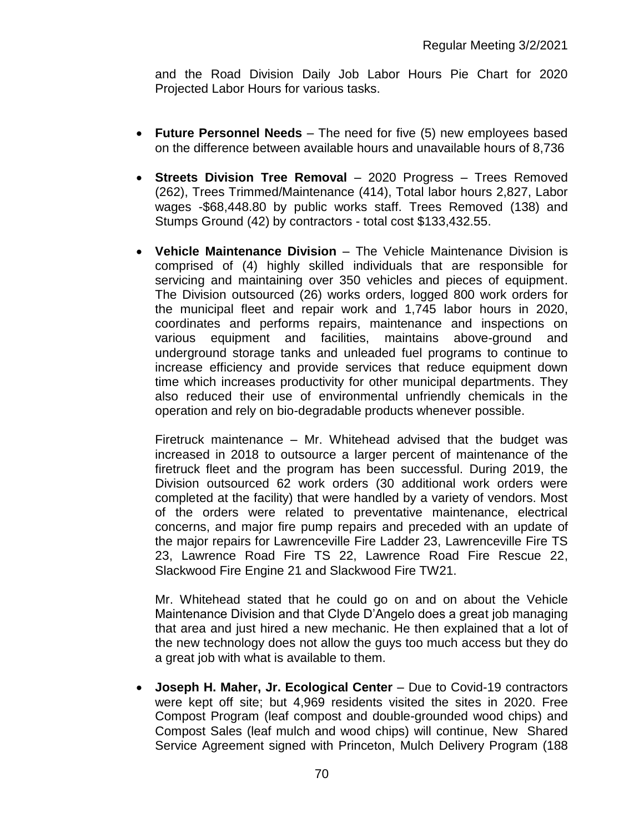and the Road Division Daily Job Labor Hours Pie Chart for 2020 Projected Labor Hours for various tasks.

- **Future Personnel Needs** The need for five (5) new employees based on the difference between available hours and unavailable hours of 8,736
- **Streets Division Tree Removal** 2020 Progress Trees Removed (262), Trees Trimmed/Maintenance (414), Total labor hours 2,827, Labor wages -\$68,448.80 by public works staff. Trees Removed (138) and Stumps Ground (42) by contractors - total cost \$133,432.55.
- **Vehicle Maintenance Division** The Vehicle Maintenance Division is comprised of (4) highly skilled individuals that are responsible for servicing and maintaining over 350 vehicles and pieces of equipment. The Division outsourced (26) works orders, logged 800 work orders for the municipal fleet and repair work and 1,745 labor hours in 2020, coordinates and performs repairs, maintenance and inspections on various equipment and facilities, maintains above-ground and underground storage tanks and unleaded fuel programs to continue to increase efficiency and provide services that reduce equipment down time which increases productivity for other municipal departments. They also reduced their use of environmental unfriendly chemicals in the operation and rely on bio-degradable products whenever possible.

Firetruck maintenance – Mr. Whitehead advised that the budget was increased in 2018 to outsource a larger percent of maintenance of the firetruck fleet and the program has been successful. During 2019, the Division outsourced 62 work orders (30 additional work orders were completed at the facility) that were handled by a variety of vendors. Most of the orders were related to preventative maintenance, electrical concerns, and major fire pump repairs and preceded with an update of the major repairs for Lawrenceville Fire Ladder 23, Lawrenceville Fire TS 23, Lawrence Road Fire TS 22, Lawrence Road Fire Rescue 22, Slackwood Fire Engine 21 and Slackwood Fire TW21.

Mr. Whitehead stated that he could go on and on about the Vehicle Maintenance Division and that Clyde D'Angelo does a great job managing that area and just hired a new mechanic. He then explained that a lot of the new technology does not allow the guys too much access but they do a great job with what is available to them.

• **Joseph H. Maher, Jr. Ecological Center** – Due to Covid-19 contractors were kept off site; but 4,969 residents visited the sites in 2020. Free Compost Program (leaf compost and double-grounded wood chips) and Compost Sales (leaf mulch and wood chips) will continue, New Shared Service Agreement signed with Princeton, Mulch Delivery Program (188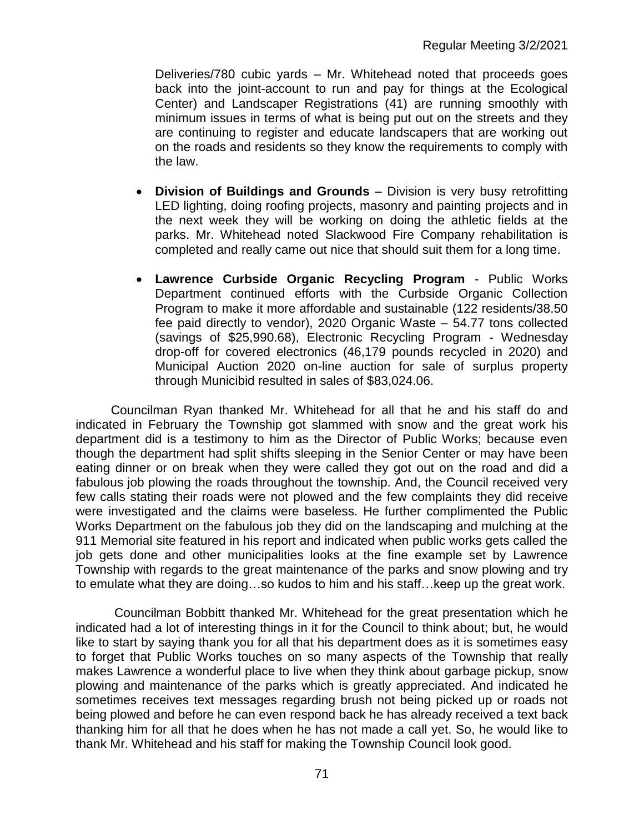Deliveries/780 cubic yards – Mr. Whitehead noted that proceeds goes back into the joint-account to run and pay for things at the Ecological Center) and Landscaper Registrations (41) are running smoothly with minimum issues in terms of what is being put out on the streets and they are continuing to register and educate landscapers that are working out on the roads and residents so they know the requirements to comply with the law.

- **Division of Buildings and Grounds** Division is very busy retrofitting LED lighting, doing roofing projects, masonry and painting projects and in the next week they will be working on doing the athletic fields at the parks. Mr. Whitehead noted Slackwood Fire Company rehabilitation is completed and really came out nice that should suit them for a long time.
- **Lawrence Curbside Organic Recycling Program** Public Works Department continued efforts with the Curbside Organic Collection Program to make it more affordable and sustainable (122 residents/38.50 fee paid directly to vendor), 2020 Organic Waste – 54.77 tons collected (savings of \$25,990.68), Electronic Recycling Program - Wednesday drop-off for covered electronics (46,179 pounds recycled in 2020) and Municipal Auction 2020 on-line auction for sale of surplus property through Municibid resulted in sales of \$83,024.06.

 Councilman Ryan thanked Mr. Whitehead for all that he and his staff do and indicated in February the Township got slammed with snow and the great work his department did is a testimony to him as the Director of Public Works; because even though the department had split shifts sleeping in the Senior Center or may have been eating dinner or on break when they were called they got out on the road and did a fabulous job plowing the roads throughout the township. And, the Council received very few calls stating their roads were not plowed and the few complaints they did receive were investigated and the claims were baseless. He further complimented the Public Works Department on the fabulous job they did on the landscaping and mulching at the 911 Memorial site featured in his report and indicated when public works gets called the job gets done and other municipalities looks at the fine example set by Lawrence Township with regards to the great maintenance of the parks and snow plowing and try to emulate what they are doing…so kudos to him and his staff…keep up the great work.

 Councilman Bobbitt thanked Mr. Whitehead for the great presentation which he indicated had a lot of interesting things in it for the Council to think about; but, he would like to start by saying thank you for all that his department does as it is sometimes easy to forget that Public Works touches on so many aspects of the Township that really makes Lawrence a wonderful place to live when they think about garbage pickup, snow plowing and maintenance of the parks which is greatly appreciated. And indicated he sometimes receives text messages regarding brush not being picked up or roads not being plowed and before he can even respond back he has already received a text back thanking him for all that he does when he has not made a call yet. So, he would like to thank Mr. Whitehead and his staff for making the Township Council look good.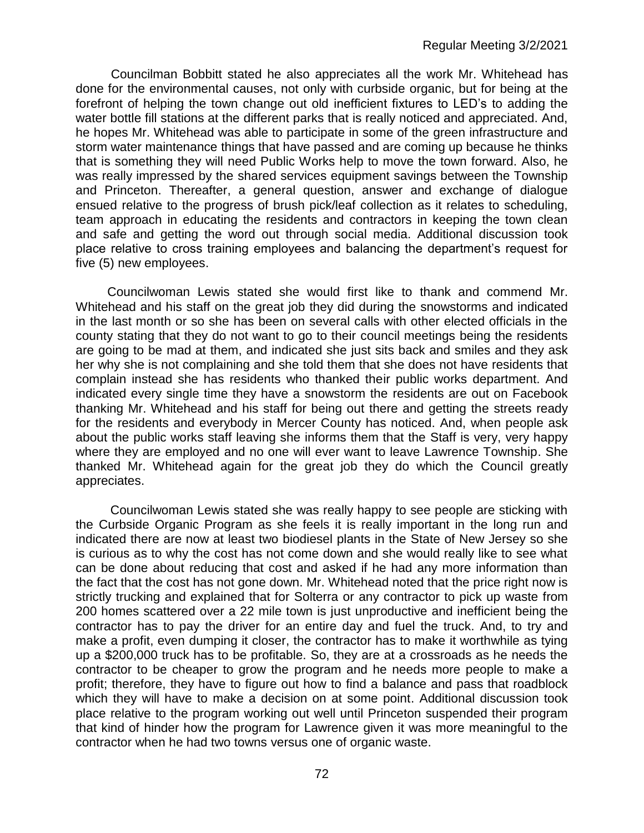Councilman Bobbitt stated he also appreciates all the work Mr. Whitehead has done for the environmental causes, not only with curbside organic, but for being at the forefront of helping the town change out old inefficient fixtures to LED's to adding the water bottle fill stations at the different parks that is really noticed and appreciated. And, he hopes Mr. Whitehead was able to participate in some of the green infrastructure and storm water maintenance things that have passed and are coming up because he thinks that is something they will need Public Works help to move the town forward. Also, he was really impressed by the shared services equipment savings between the Township and Princeton. Thereafter, a general question, answer and exchange of dialogue ensued relative to the progress of brush pick/leaf collection as it relates to scheduling, team approach in educating the residents and contractors in keeping the town clean and safe and getting the word out through social media. Additional discussion took place relative to cross training employees and balancing the department's request for five (5) new employees.

 Councilwoman Lewis stated she would first like to thank and commend Mr. Whitehead and his staff on the great job they did during the snowstorms and indicated in the last month or so she has been on several calls with other elected officials in the county stating that they do not want to go to their council meetings being the residents are going to be mad at them, and indicated she just sits back and smiles and they ask her why she is not complaining and she told them that she does not have residents that complain instead she has residents who thanked their public works department. And indicated every single time they have a snowstorm the residents are out on Facebook thanking Mr. Whitehead and his staff for being out there and getting the streets ready for the residents and everybody in Mercer County has noticed. And, when people ask about the public works staff leaving she informs them that the Staff is very, very happy where they are employed and no one will ever want to leave Lawrence Township. She thanked Mr. Whitehead again for the great job they do which the Council greatly appreciates.

Councilwoman Lewis stated she was really happy to see people are sticking with the Curbside Organic Program as she feels it is really important in the long run and indicated there are now at least two biodiesel plants in the State of New Jersey so she is curious as to why the cost has not come down and she would really like to see what can be done about reducing that cost and asked if he had any more information than the fact that the cost has not gone down. Mr. Whitehead noted that the price right now is strictly trucking and explained that for Solterra or any contractor to pick up waste from 200 homes scattered over a 22 mile town is just unproductive and inefficient being the contractor has to pay the driver for an entire day and fuel the truck. And, to try and make a profit, even dumping it closer, the contractor has to make it worthwhile as tying up a \$200,000 truck has to be profitable. So, they are at a crossroads as he needs the contractor to be cheaper to grow the program and he needs more people to make a profit; therefore, they have to figure out how to find a balance and pass that roadblock which they will have to make a decision on at some point. Additional discussion took place relative to the program working out well until Princeton suspended their program that kind of hinder how the program for Lawrence given it was more meaningful to the contractor when he had two towns versus one of organic waste.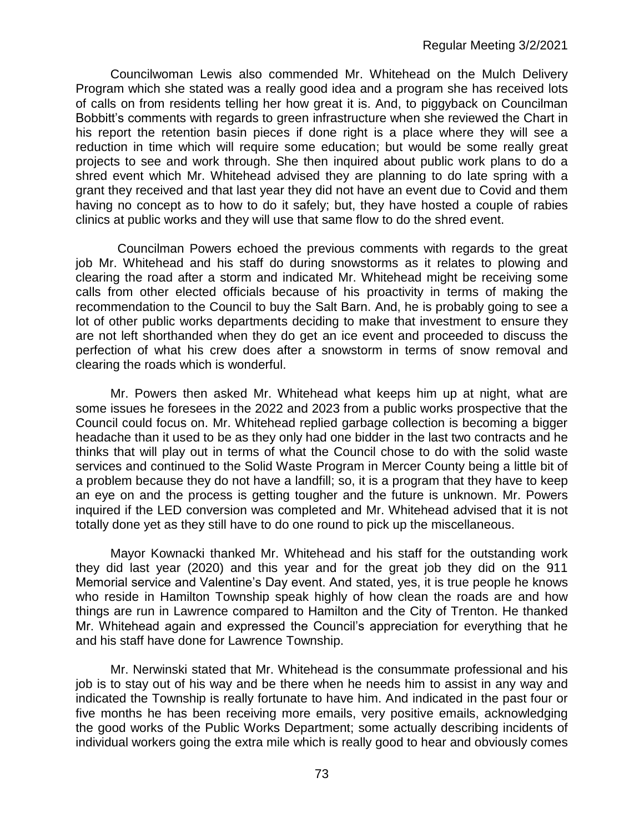Councilwoman Lewis also commended Mr. Whitehead on the Mulch Delivery Program which she stated was a really good idea and a program she has received lots of calls on from residents telling her how great it is. And, to piggyback on Councilman Bobbitt's comments with regards to green infrastructure when she reviewed the Chart in his report the retention basin pieces if done right is a place where they will see a reduction in time which will require some education; but would be some really great projects to see and work through. She then inquired about public work plans to do a shred event which Mr. Whitehead advised they are planning to do late spring with a grant they received and that last year they did not have an event due to Covid and them having no concept as to how to do it safely; but, they have hosted a couple of rabies clinics at public works and they will use that same flow to do the shred event.

Councilman Powers echoed the previous comments with regards to the great job Mr. Whitehead and his staff do during snowstorms as it relates to plowing and clearing the road after a storm and indicated Mr. Whitehead might be receiving some calls from other elected officials because of his proactivity in terms of making the recommendation to the Council to buy the Salt Barn. And, he is probably going to see a lot of other public works departments deciding to make that investment to ensure they are not left shorthanded when they do get an ice event and proceeded to discuss the perfection of what his crew does after a snowstorm in terms of snow removal and clearing the roads which is wonderful.

Mr. Powers then asked Mr. Whitehead what keeps him up at night, what are some issues he foresees in the 2022 and 2023 from a public works prospective that the Council could focus on. Mr. Whitehead replied garbage collection is becoming a bigger headache than it used to be as they only had one bidder in the last two contracts and he thinks that will play out in terms of what the Council chose to do with the solid waste services and continued to the Solid Waste Program in Mercer County being a little bit of a problem because they do not have a landfill; so, it is a program that they have to keep an eye on and the process is getting tougher and the future is unknown. Mr. Powers inquired if the LED conversion was completed and Mr. Whitehead advised that it is not totally done yet as they still have to do one round to pick up the miscellaneous.

Mayor Kownacki thanked Mr. Whitehead and his staff for the outstanding work they did last year (2020) and this year and for the great job they did on the 911 Memorial service and Valentine's Day event. And stated, yes, it is true people he knows who reside in Hamilton Township speak highly of how clean the roads are and how things are run in Lawrence compared to Hamilton and the City of Trenton. He thanked Mr. Whitehead again and expressed the Council's appreciation for everything that he and his staff have done for Lawrence Township.

Mr. Nerwinski stated that Mr. Whitehead is the consummate professional and his job is to stay out of his way and be there when he needs him to assist in any way and indicated the Township is really fortunate to have him. And indicated in the past four or five months he has been receiving more emails, very positive emails, acknowledging the good works of the Public Works Department; some actually describing incidents of individual workers going the extra mile which is really good to hear and obviously comes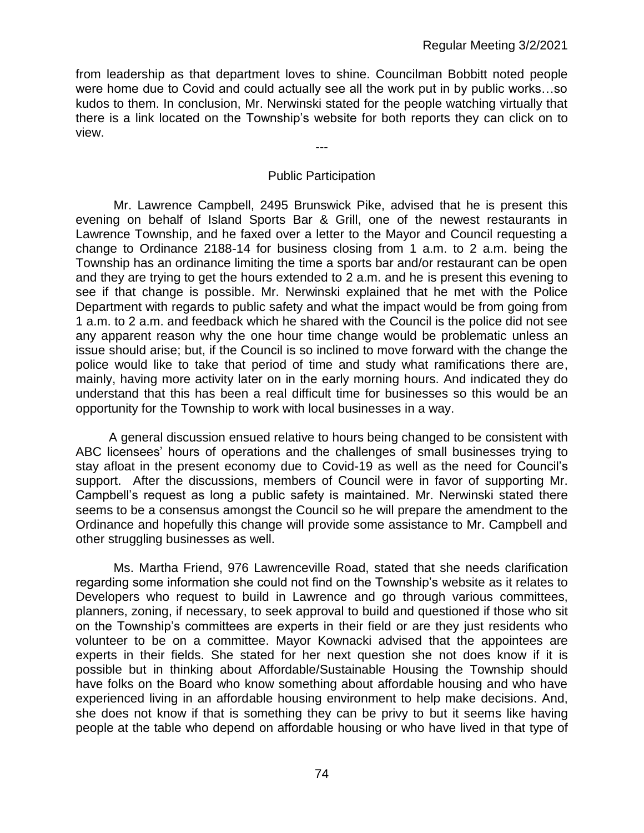from leadership as that department loves to shine. Councilman Bobbitt noted people were home due to Covid and could actually see all the work put in by public works…so kudos to them. In conclusion, Mr. Nerwinski stated for the people watching virtually that there is a link located on the Township's website for both reports they can click on to view.

#### Public Participation

---

Mr. Lawrence Campbell, 2495 Brunswick Pike, advised that he is present this evening on behalf of Island Sports Bar & Grill, one of the newest restaurants in Lawrence Township, and he faxed over a letter to the Mayor and Council requesting a change to Ordinance 2188-14 for business closing from 1 a.m. to 2 a.m. being the Township has an ordinance limiting the time a sports bar and/or restaurant can be open and they are trying to get the hours extended to 2 a.m. and he is present this evening to see if that change is possible. Mr. Nerwinski explained that he met with the Police Department with regards to public safety and what the impact would be from going from 1 a.m. to 2 a.m. and feedback which he shared with the Council is the police did not see any apparent reason why the one hour time change would be problematic unless an issue should arise; but, if the Council is so inclined to move forward with the change the police would like to take that period of time and study what ramifications there are, mainly, having more activity later on in the early morning hours. And indicated they do understand that this has been a real difficult time for businesses so this would be an opportunity for the Township to work with local businesses in a way.

A general discussion ensued relative to hours being changed to be consistent with ABC licensees' hours of operations and the challenges of small businesses trying to stay afloat in the present economy due to Covid-19 as well as the need for Council's support. After the discussions, members of Council were in favor of supporting Mr. Campbell's request as long a public safety is maintained. Mr. Nerwinski stated there seems to be a consensus amongst the Council so he will prepare the amendment to the Ordinance and hopefully this change will provide some assistance to Mr. Campbell and other struggling businesses as well.

Ms. Martha Friend, 976 Lawrenceville Road, stated that she needs clarification regarding some information she could not find on the Township's website as it relates to Developers who request to build in Lawrence and go through various committees, planners, zoning, if necessary, to seek approval to build and questioned if those who sit on the Township's committees are experts in their field or are they just residents who volunteer to be on a committee. Mayor Kownacki advised that the appointees are experts in their fields. She stated for her next question she not does know if it is possible but in thinking about Affordable/Sustainable Housing the Township should have folks on the Board who know something about affordable housing and who have experienced living in an affordable housing environment to help make decisions. And, she does not know if that is something they can be privy to but it seems like having people at the table who depend on affordable housing or who have lived in that type of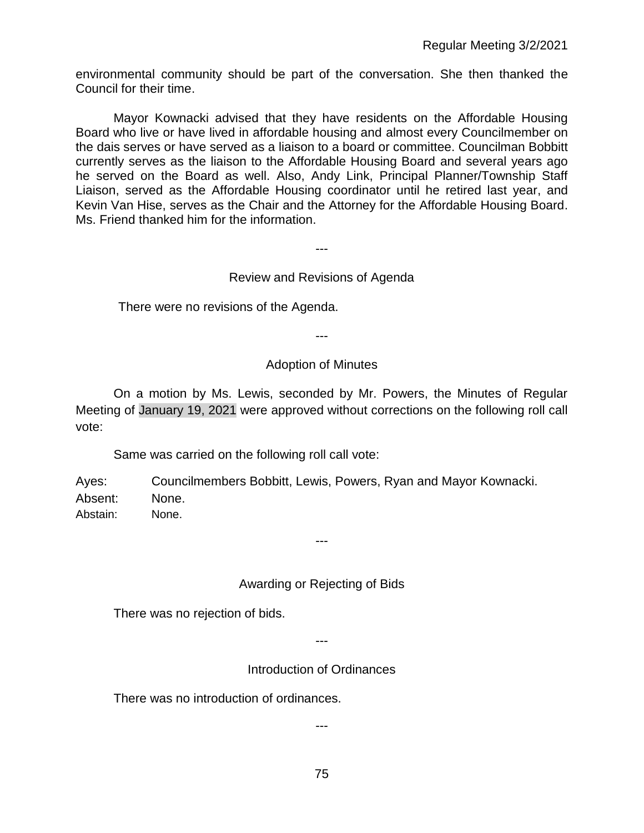environmental community should be part of the conversation. She then thanked the Council for their time.

Mayor Kownacki advised that they have residents on the Affordable Housing Board who live or have lived in affordable housing and almost every Councilmember on the dais serves or have served as a liaison to a board or committee. Councilman Bobbitt currently serves as the liaison to the Affordable Housing Board and several years ago he served on the Board as well. Also, Andy Link, Principal Planner/Township Staff Liaison, served as the Affordable Housing coordinator until he retired last year, and Kevin Van Hise, serves as the Chair and the Attorney for the Affordable Housing Board. Ms. Friend thanked him for the information.

# Review and Revisions of Agenda

---

There were no revisions of the Agenda.

---

### Adoption of Minutes

On a motion by Ms. Lewis, seconded by Mr. Powers, the Minutes of Regular Meeting of January 19, 2021 were approved without corrections on the following roll call vote:

Same was carried on the following roll call vote:

Ayes: Councilmembers Bobbitt, Lewis, Powers, Ryan and Mayor Kownacki. Absent: None.

Abstain: None.

# Awarding or Rejecting of Bids

---

There was no rejection of bids.

---

Introduction of Ordinances

There was no introduction of ordinances.

---

75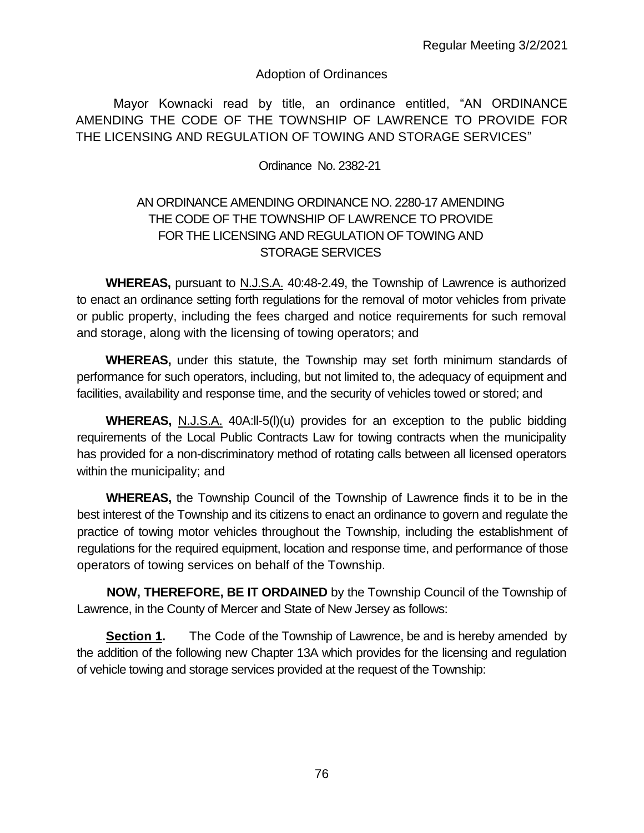### Adoption of Ordinances

Mayor Kownacki read by title, an ordinance entitled, "AN ORDINANCE AMENDING THE CODE OF THE TOWNSHIP OF LAWRENCE TO PROVIDE FOR THE LICENSING AND REGULATION OF TOWING AND STORAGE SERVICES"

Ordinance No. 2382-21

# AN ORDINANCE AMENDING ORDINANCE NO. 2280-17 AMENDING THE CODE OF THE TOWNSHIP OF LAWRENCE TO PROVIDE FOR THE LICENSING AND REGULATION OF TOWING AND STORAGE SERVICES

**WHEREAS,** pursuant to N.J.S.A. 40:48-2.49, the Township of Lawrence is authorized to enact an ordinance setting forth regulations for the removal of motor vehicles from private or public property, including the fees charged and notice requirements for such removal and storage, along with the licensing of towing operators; and

**WHEREAS,** under this statute, the Township may set forth minimum standards of performance for such operators, including, but not limited to, the adequacy of equipment and facilities, availability and response time, and the security of vehicles towed or stored; and

**WHEREAS,** N.J.S.A. 40A:ll-5(l)(u) provides for an exception to the public bidding requirements of the Local Public Contracts Law for towing contracts when the municipality has provided for a non-discriminatory method of rotating calls between all licensed operators within the municipality; and

**WHEREAS,** the Township Council of the Township of Lawrence finds it to be in the best interest of the Township and its citizens to enact an ordinance to govern and regulate the practice of towing motor vehicles throughout the Township, including the establishment of regulations for the required equipment, location and response time, and performance of those operators of towing services on behalf of the Township.

**NOW, THEREFORE, BE IT ORDAINED** by the Township Council of the Township of Lawrence, in the County of Mercer and State of New Jersey as follows:

**Section 1.** The Code of the Township of Lawrence, be and is hereby amended by the addition of the following new Chapter 13A which provides for the licensing and regulation of vehicle towing and storage services provided at the request of the Township: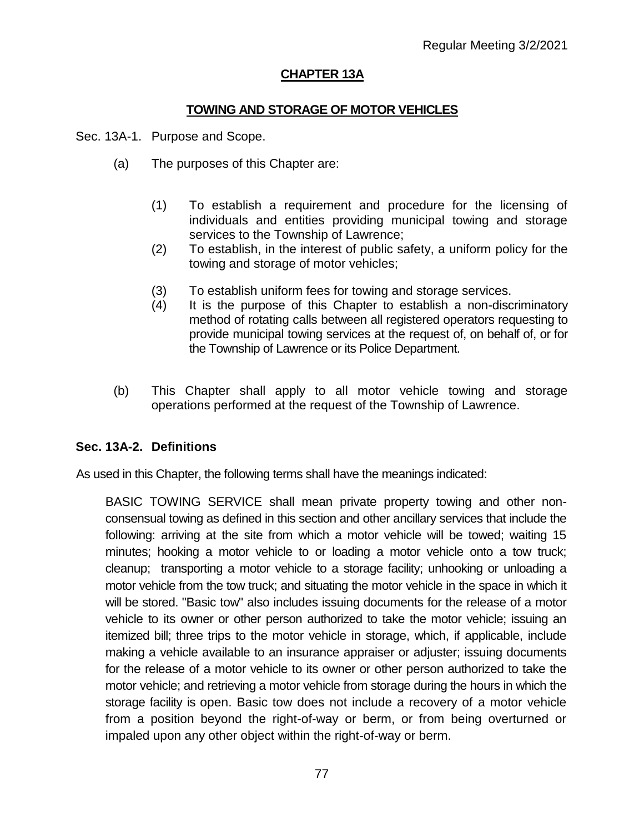# **CHAPTER 13A**

### **TOWING AND STORAGE OF MOTOR VEHICLES**

Sec. 13A-1. Purpose and Scope.

- (a) The purposes of this Chapter are:
	- (1) To establish a requirement and procedure for the licensing of individuals and entities providing municipal towing and storage services to the Township of Lawrence;
	- (2) To establish, in the interest of public safety, a uniform policy for the towing and storage of motor vehicles;
	- (3) To establish uniform fees for towing and storage services.
	- (4) It is the purpose of this Chapter to establish a non-discriminatory method of rotating calls between all registered operators requesting to provide municipal towing services at the request of, on behalf of, or for the Township of Lawrence or its Police Department.
- (b) This Chapter shall apply to all motor vehicle towing and storage operations performed at the request of the Township of Lawrence.

# **Sec. 13A-2. Definitions**

As used in this Chapter, the following terms shall have the meanings indicated:

BASIC TOWING SERVICE shall mean private property towing and other nonconsensual towing as defined in this section and other ancillary services that include the following: arriving at the site from which a motor vehicle will be towed; waiting 15 minutes; hooking a motor vehicle to or loading a motor vehicle onto a tow truck; cleanup; transporting a motor vehicle to a storage facility; unhooking or unloading a motor vehicle from the tow truck; and situating the motor vehicle in the space in which it will be stored. "Basic tow" also includes issuing documents for the release of a motor vehicle to its owner or other person authorized to take the motor vehicle; issuing an itemized bill; three trips to the motor vehicle in storage, which, if applicable, include making a vehicle available to an insurance appraiser or adjuster; issuing documents for the release of a motor vehicle to its owner or other person authorized to take the motor vehicle; and retrieving a motor vehicle from storage during the hours in which the storage facility is open. Basic tow does not include a recovery of a motor vehicle from a position beyond the right-of-way or berm, or from being overturned or impaled upon any other object within the right-of-way or berm.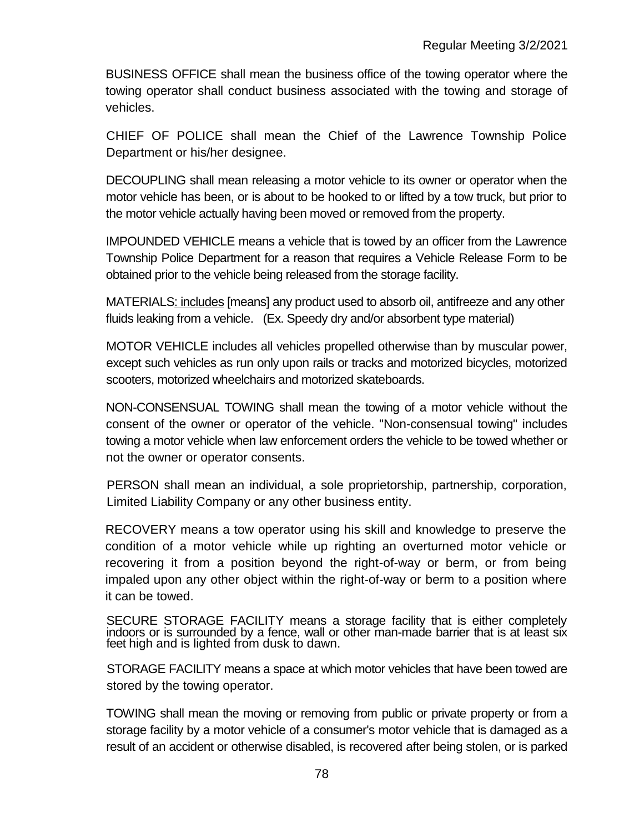BUSINESS OFFICE shall mean the business office of the towing operator where the towing operator shall conduct business associated with the towing and storage of vehicles.

CHIEF OF POLICE shall mean the Chief of the Lawrence Township Police Department or his/her designee.

DECOUPLING shall mean releasing a motor vehicle to its owner or operator when the motor vehicle has been, or is about to be hooked to or lifted by a tow truck, but prior to the motor vehicle actually having been moved or removed from the property.

IMPOUNDED VEHICLE means a vehicle that is towed by an officer from the Lawrence Township Police Department for a reason that requires a Vehicle Release Form to be obtained prior to the vehicle being released from the storage facility.

MATERIALS: includes [means] any product used to absorb oil, antifreeze and any other fluids leaking from a vehicle. (Ex. Speedy dry and/or absorbent type material)

MOTOR VEHICLE includes all vehicles propelled otherwise than by muscular power, except such vehicles as run only upon rails or tracks and motorized bicycles, motorized scooters, motorized wheelchairs and motorized skateboards.

NON-CONSENSUAL TOWING shall mean the towing of a motor vehicle without the consent of the owner or operator of the vehicle. "Non-consensual towing" includes towing a motor vehicle when law enforcement orders the vehicle to be towed whether or not the owner or operator consents.

PERSON shall mean an individual, a sole proprietorship, partnership, corporation, Limited Liability Company or any other business entity.

RECOVERY means a tow operator using his skill and knowledge to preserve the condition of a motor vehicle while up righting an overturned motor vehicle or recovering it from a position beyond the right-of-way or berm, or from being impaled upon any other object within the right-of-way or berm to a position where it can be towed.

SECURE STORAGE FACILITY means a storage facility that is either completely indoors or is surrounded by a fence, wall or other man-made barrier that is at least six feet high and is lighted from dusk to dawn.

STORAGE FACILITY means a space at which motor vehicles that have been towed are stored by the towing operator.

TOWING shall mean the moving or removing from public or private property or from a storage facility by a motor vehicle of a consumer's motor vehicle that is damaged as a result of an accident or otherwise disabled, is recovered after being stolen, or is parked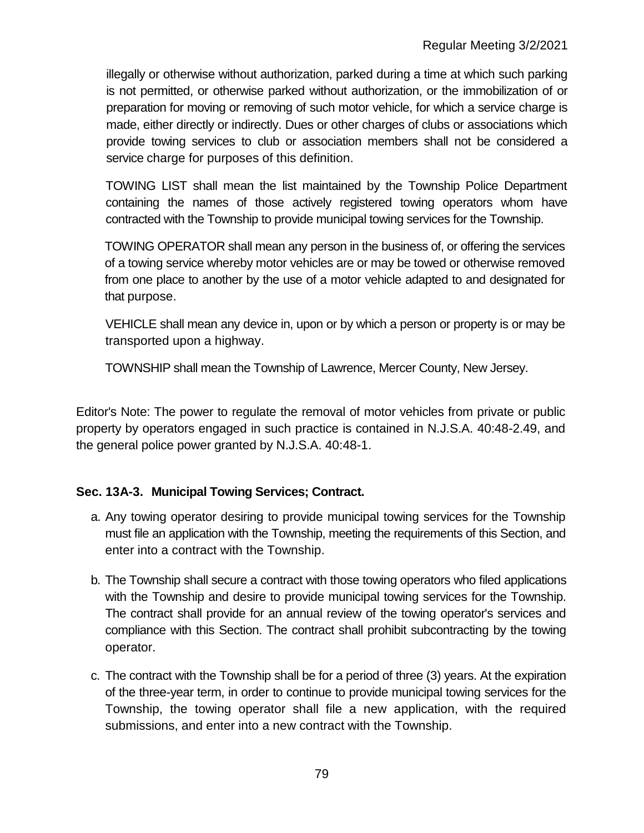illegally or otherwise without authorization, parked during a time at which such parking is not permitted, or otherwise parked without authorization, or the immobilization of or preparation for moving or removing of such motor vehicle, for which a service charge is made, either directly or indirectly. Dues or other charges of clubs or associations which provide towing services to club or association members shall not be considered a service charge for purposes of this definition.

TOWING LIST shall mean the list maintained by the Township Police Department containing the names of those actively registered towing operators whom have contracted with the Township to provide municipal towing services for the Township.

TOWING OPERATOR shall mean any person in the business of, or offering the services of a towing service whereby motor vehicles are or may be towed or otherwise removed from one place to another by the use of a motor vehicle adapted to and designated for that purpose.

VEHICLE shall mean any device in, upon or by which a person or property is or may be transported upon a highway.

TOWNSHIP shall mean the Township of Lawrence, Mercer County, New Jersey.

Editor's Note: The power to regulate the removal of motor vehicles from private or public property by operators engaged in such practice is contained in N.J.S.A. 40:48-2.49, and the general police power granted by N.J.S.A. 40:48-1.

# **Sec. 13A-3. Municipal Towing Services; Contract.**

- a. Any towing operator desiring to provide municipal towing services for the Township must file an application with the Township, meeting the requirements of this Section, and enter into a contract with the Township.
- b. The Township shall secure a contract with those towing operators who filed applications with the Township and desire to provide municipal towing services for the Township. The contract shall provide for an annual review of the towing operator's services and compliance with this Section. The contract shall prohibit subcontracting by the towing operator.
- c. The contract with the Township shall be for a period of three (3) years. At the expiration of the three-year term, in order to continue to provide municipal towing services for the Township, the towing operator shall file a new application, with the required submissions, and enter into a new contract with the Township.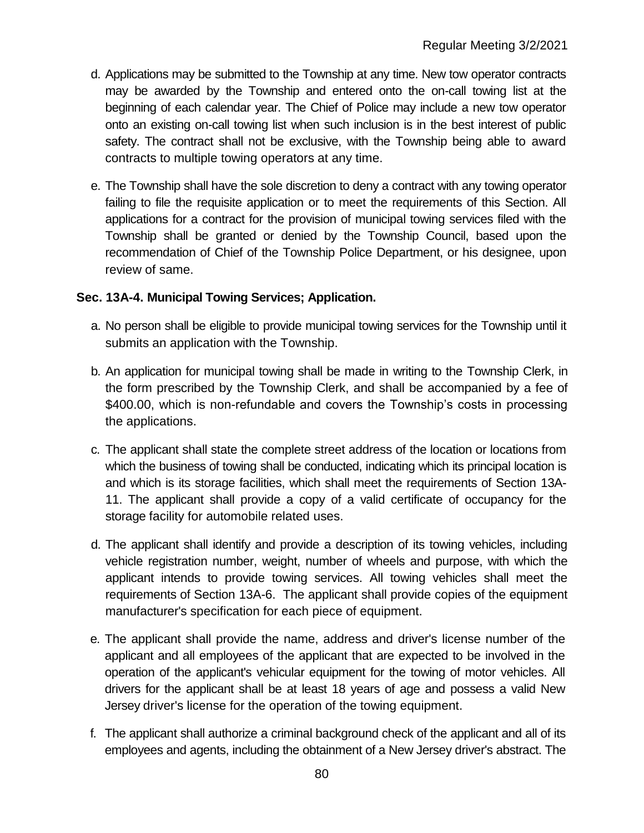- d. Applications may be submitted to the Township at any time. New tow operator contracts may be awarded by the Township and entered onto the on-call towing list at the beginning of each calendar year. The Chief of Police may include a new tow operator onto an existing on-call towing list when such inclusion is in the best interest of public safety. The contract shall not be exclusive, with the Township being able to award contracts to multiple towing operators at any time.
- e. The Township shall have the sole discretion to deny a contract with any towing operator failing to file the requisite application or to meet the requirements of this Section. All applications for a contract for the provision of municipal towing services filed with the Township shall be granted or denied by the Township Council, based upon the recommendation of Chief of the Township Police Department, or his designee, upon review of same.

### **Sec. 13A-4. Municipal Towing Services; Application.**

- a. No person shall be eligible to provide municipal towing services for the Township until it submits an application with the Township.
- b. An application for municipal towing shall be made in writing to the Township Clerk, in the form prescribed by the Township Clerk, and shall be accompanied by a fee of \$400.00, which is non-refundable and covers the Township's costs in processing the applications.
- c. The applicant shall state the complete street address of the location or locations from which the business of towing shall be conducted, indicating which its principal location is and which is its storage facilities, which shall meet the requirements of Section 13A-11. The applicant shall provide a copy of a valid certificate of occupancy for the storage facility for automobile related uses.
- d. The applicant shall identify and provide a description of its towing vehicles, including vehicle registration number, weight, number of wheels and purpose, with which the applicant intends to provide towing services. All towing vehicles shall meet the requirements of Section 13A-6. The applicant shall provide copies of the equipment manufacturer's specification for each piece of equipment.
- e. The applicant shall provide the name, address and driver's license number of the applicant and all employees of the applicant that are expected to be involved in the operation of the applicant's vehicular equipment for the towing of motor vehicles. All drivers for the applicant shall be at least 18 years of age and possess a valid New Jersey driver's license for the operation of the towing equipment.
- f. The applicant shall authorize a criminal background check of the applicant and all of its employees and agents, including the obtainment of a New Jersey driver's abstract. The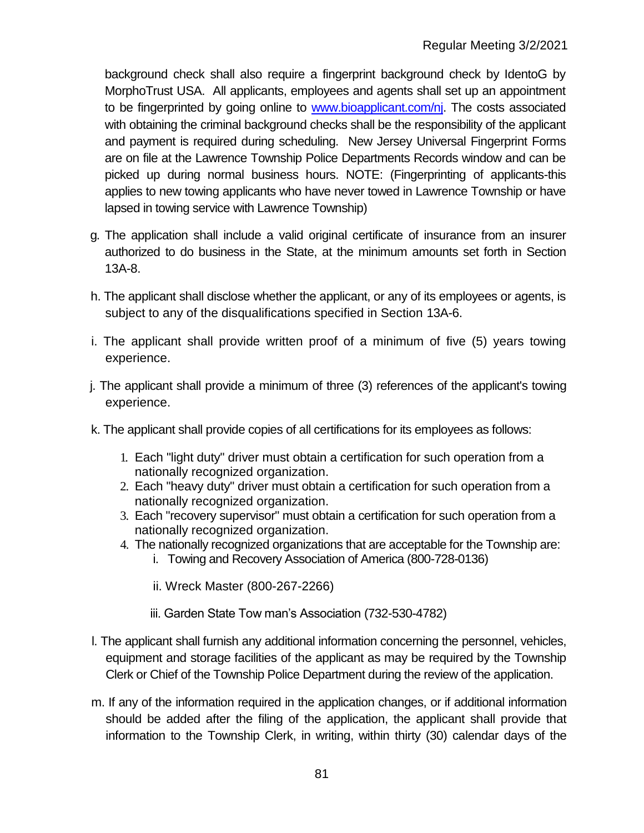background check shall also require a fingerprint background check by IdentoG by MorphoTrust USA. All applicants, employees and agents shall set up an appointment to be fingerprinted by going online to [www.bioapplicant.com/nj.](http://www.bioapplicant.com/nj) The costs associated with obtaining the criminal background checks shall be the responsibility of the applicant and payment is required during scheduling. New Jersey Universal Fingerprint Forms are on file at the Lawrence Township Police Departments Records window and can be picked up during normal business hours. NOTE: (Fingerprinting of applicants-this applies to new towing applicants who have never towed in Lawrence Township or have lapsed in towing service with Lawrence Township)

- g. The application shall include a valid original certificate of insurance from an insurer authorized to do business in the State, at the minimum amounts set forth in Section 13A-8.
- h. The applicant shall disclose whether the applicant, or any of its employees or agents, is subject to any of the disqualifications specified in Section 13A-6.
- i. The applicant shall provide written proof of a minimum of five (5) years towing experience.
- j. The applicant shall provide a minimum of three (3) references of the applicant's towing experience.
- k. The applicant shall provide copies of all certifications for its employees as follows:
	- 1. Each "light duty" driver must obtain a certification for such operation from a nationally recognized organization.
	- 2. Each "heavy duty" driver must obtain a certification for such operation from a nationally recognized organization.
	- 3. Each "recovery supervisor" must obtain a certification for such operation from a nationally recognized organization.
	- 4. The nationally recognized organizations that are acceptable for the Township are:
		- i. Towing and Recovery Association of America (800-728-0136)
		- ii. Wreck Master (800-267-2266)
		- iii. Garden State Tow man's Association (732-530-4782)
- l. The applicant shall furnish any additional information concerning the personnel, vehicles, equipment and storage facilities of the applicant as may be required by the Township Clerk or Chief of the Township Police Department during the review of the application.
- m. If any of the information required in the application changes, or if additional information should be added after the filing of the application, the applicant shall provide that information to the Township Clerk, in writing, within thirty (30) calendar days of the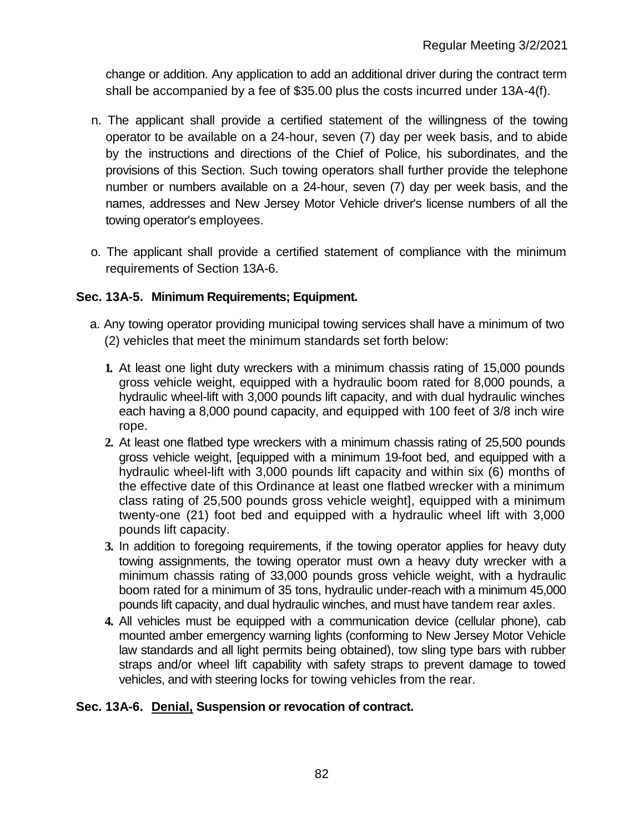change or addition. Any application to add an additional driver during the contract term shall be accompanied by a fee of \$35.00 plus the costs incurred under 13A-4(f).

- n. The applicant shall provide a certified statement of the willingness of the towing operator to be available on a 24-hour, seven (7) day per week basis, and to abide by the instructions and directions of the Chief of Police, his subordinates, and the provisions of this Section. Such towing operators shall further provide the telephone number or numbers available on a 24-hour, seven (7) day per week basis, and the names, addresses and New Jersey Motor Vehicle driver's license numbers of all the towing operator's employees.
- o. The applicant shall provide a certified statement of compliance with the minimum requirements of Section 13A-6.

# **Sec. 13A-5. Minimum Requirements; Equipment.**

- a. Any towing operator providing municipal towing services shall have a minimum of two (2) vehicles that meet the minimum standards set forth below:
	- **1.** At least one light duty wreckers with a minimum chassis rating of 15,000 pounds gross vehicle weight, equipped with a hydraulic boom rated for 8,000 pounds, a hydraulic wheel-lift with 3,000 pounds lift capacity, and with dual hydraulic winches each having a 8,000 pound capacity, and equipped with 100 feet of 3/8 inch wire rope.
	- **2.** At least one flatbed type wreckers with a minimum chassis rating of 25,500 pounds gross vehicle weight, [equipped with a minimum 19-foot bed, and equipped with a hydraulic wheel-lift with 3,000 pounds lift capacity and within six (6) months of the effective date of this Ordinance at least one flatbed wrecker with a minimum class rating of 25,500 pounds gross vehicle weight], equipped with a minimum twenty-one (21) foot bed and equipped with a hydraulic wheel lift with 3,000 pounds lift capacity.
	- **3.** In addition to foregoing requirements, if the towing operator applies for heavy duty towing assignments, the towing operator must own a heavy duty wrecker with a minimum chassis rating of 33,000 pounds gross vehicle weight, with a hydraulic boom rated for a minimum of 35 tons, hydraulic under-reach with a minimum 45,000 pounds lift capacity, and dual hydraulic winches, and must have tandem rear axles.
	- **4.** All vehicles must be equipped with a communication device (cellular phone), cab mounted amber emergency warning lights (conforming to New Jersey Motor Vehicle law standards and all light permits being obtained), tow sling type bars with rubber straps and/or wheel lift capability with safety straps to prevent damage to towed vehicles, and with steering locks for towing vehicles from the rear.

# **Sec. 13A-6. Denial, Suspension or revocation of contract.**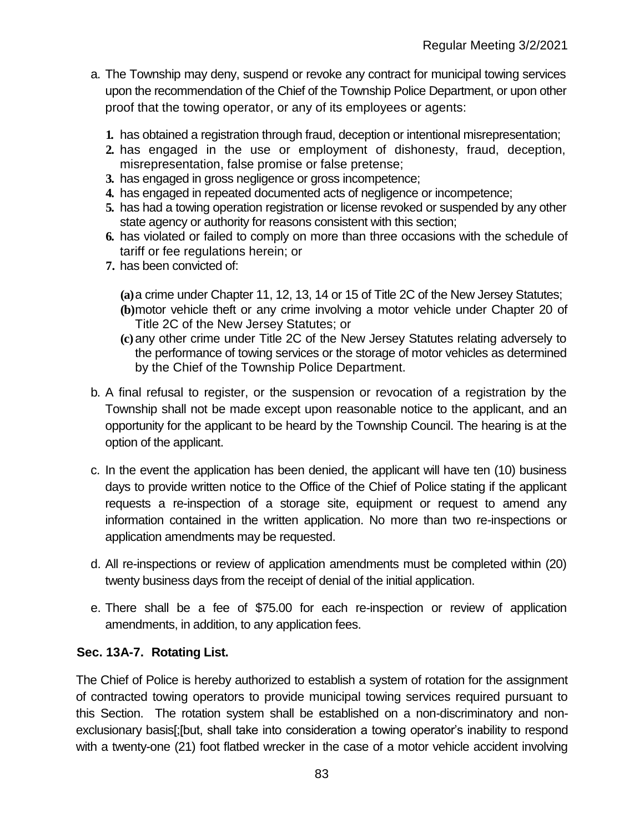- a. The Township may deny, suspend or revoke any contract for municipal towing services upon the recommendation of the Chief of the Township Police Department, or upon other proof that the towing operator, or any of its employees or agents:
	- **1.** has obtained a registration through fraud, deception or intentional misrepresentation;
	- **2.** has engaged in the use or employment of dishonesty, fraud, deception, misrepresentation, false promise or false pretense;
	- **3.** has engaged in gross negligence or gross incompetence;
	- **4.** has engaged in repeated documented acts of negligence or incompetence;
	- **5.** has had a towing operation registration or license revoked or suspended by any other state agency or authority for reasons consistent with this section;
	- **6.** has violated or failed to comply on more than three occasions with the schedule of tariff or fee regulations herein; or
	- **7.** has been convicted of:
		- **(a)**a crime under Chapter 11, 12, 13, 14 or 15 of Title 2C of the New Jersey Statutes;
		- **(b)**motor vehicle theft or any crime involving a motor vehicle under Chapter 20 of Title 2C of the New Jersey Statutes; or
		- **(c)**any other crime under Title 2C of the New Jersey Statutes relating adversely to the performance of towing services or the storage of motor vehicles as determined by the Chief of the Township Police Department.
- b. A final refusal to register, or the suspension or revocation of a registration by the Township shall not be made except upon reasonable notice to the applicant, and an opportunity for the applicant to be heard by the Township Council. The hearing is at the option of the applicant.
- c. In the event the application has been denied, the applicant will have ten (10) business days to provide written notice to the Office of the Chief of Police stating if the applicant requests a re-inspection of a storage site, equipment or request to amend any information contained in the written application. No more than two re-inspections or application amendments may be requested.
- d. All re-inspections or review of application amendments must be completed within (20) twenty business days from the receipt of denial of the initial application.
- e. There shall be a fee of \$75.00 for each re-inspection or review of application amendments, in addition, to any application fees.

# **Sec. 13A-7. Rotating List.**

The Chief of Police is hereby authorized to establish a system of rotation for the assignment of contracted towing operators to provide municipal towing services required pursuant to this Section. The rotation system shall be established on a non-discriminatory and nonexclusionary basis[;[but, shall take into consideration a towing operator's inability to respond with a twenty-one (21) foot flatbed wrecker in the case of a motor vehicle accident involving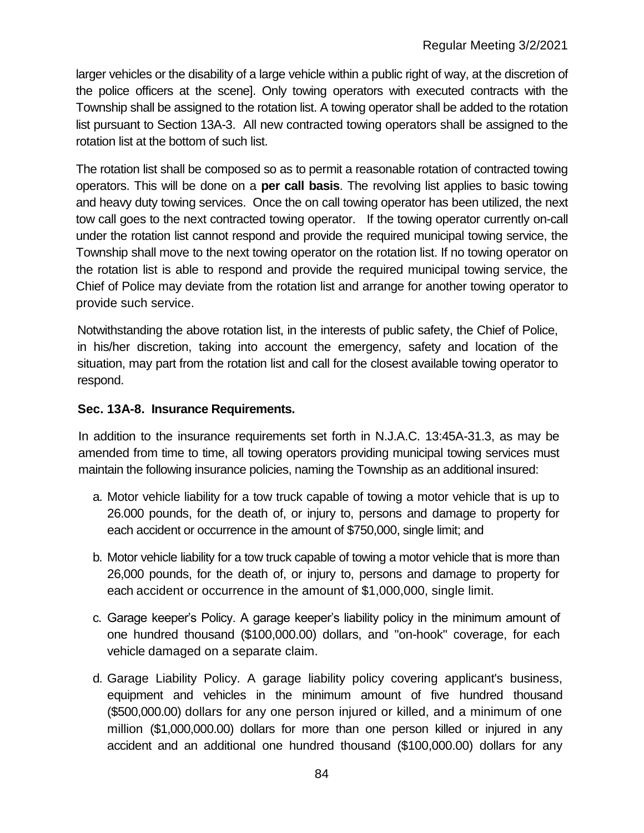larger vehicles or the disability of a large vehicle within a public right of way, at the discretion of the police officers at the scene]. Only towing operators with executed contracts with the Township shall be assigned to the rotation list. A towing operator shall be added to the rotation list pursuant to Section 13A-3. All new contracted towing operators shall be assigned to the rotation list at the bottom of such list.

The rotation list shall be composed so as to permit a reasonable rotation of contracted towing operators. This will be done on a **per call basis**. The revolving list applies to basic towing and heavy duty towing services. Once the on call towing operator has been utilized, the next tow call goes to the next contracted towing operator. If the towing operator currently on-call under the rotation list cannot respond and provide the required municipal towing service, the Township shall move to the next towing operator on the rotation list. If no towing operator on the rotation list is able to respond and provide the required municipal towing service, the Chief of Police may deviate from the rotation list and arrange for another towing operator to provide such service.

Notwithstanding the above rotation list, in the interests of public safety, the Chief of Police, in his/her discretion, taking into account the emergency, safety and location of the situation, may part from the rotation list and call for the closest available towing operator to respond.

### **Sec. 13A-8. Insurance Requirements.**

In addition to the insurance requirements set forth in N.J.A.C. 13:45A-31.3, as may be amended from time to time, all towing operators providing municipal towing services must maintain the following insurance policies, naming the Township as an additional insured:

- a. Motor vehicle liability for a tow truck capable of towing a motor vehicle that is up to 26.000 pounds, for the death of, or injury to, persons and damage to property for each accident or occurrence in the amount of \$750,000, single limit; and
- b. Motor vehicle liability for a tow truck capable of towing a motor vehicle that is more than 26,000 pounds, for the death of, or injury to, persons and damage to property for each accident or occurrence in the amount of \$1,000,000, single limit.
- c. Garage keeper's Policy. A garage keeper's liability policy in the minimum amount of one hundred thousand (\$100,000.00) dollars, and "on-hook" coverage, for each vehicle damaged on a separate claim.
- d. Garage Liability Policy. A garage liability policy covering applicant's business, equipment and vehicles in the minimum amount of five hundred thousand (\$500,000.00) dollars for any one person injured or killed, and a minimum of one million (\$1,000,000.00) dollars for more than one person killed or injured in any accident and an additional one hundred thousand (\$100,000.00) dollars for any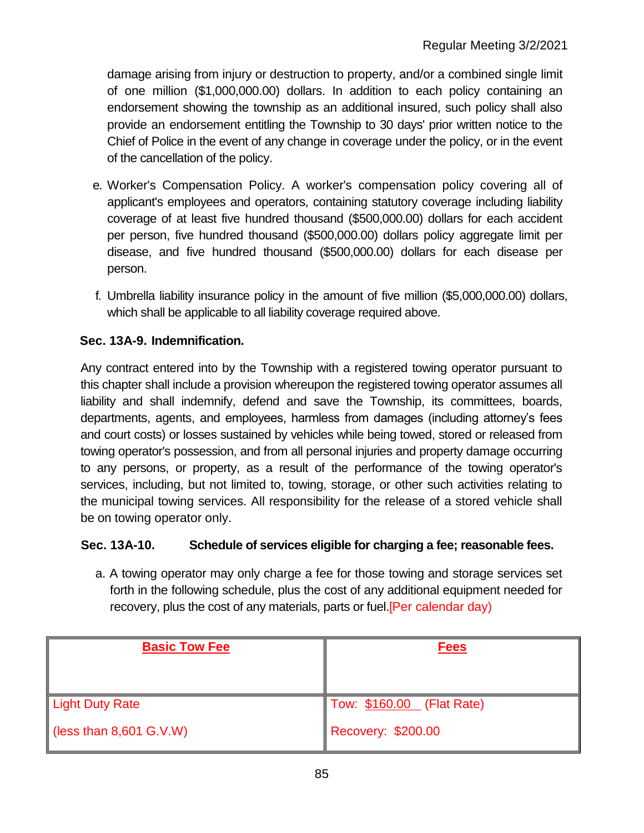damage arising from injury or destruction to property, and/or a combined single limit of one million (\$1,000,000.00) dollars. In addition to each policy containing an endorsement showing the township as an additional insured, such policy shall also provide an endorsement entitling the Township to 30 days' prior written notice to the Chief of Police in the event of any change in coverage under the policy, or in the event of the cancellation of the policy.

- e. Worker's Compensation Policy. A worker's compensation policy covering all of applicant's employees and operators, containing statutory coverage including liability coverage of at least five hundred thousand (\$500,000.00) dollars for each accident per person, five hundred thousand (\$500,000.00) dollars policy aggregate limit per disease, and five hundred thousand (\$500,000.00) dollars for each disease per person.
- f. Umbrella liability insurance policy in the amount of five million (\$5,000,000.00) dollars, which shall be applicable to all liability coverage required above.

# **Sec. 13A-9. Indemnification.**

Any contract entered into by the Township with a registered towing operator pursuant to this chapter shall include a provision whereupon the registered towing operator assumes all liability and shall indemnify, defend and save the Township, its committees, boards, departments, agents, and employees, harmless from damages (including attorney's fees and court costs) or losses sustained by vehicles while being towed, stored or released from towing operator's possession, and from all personal injuries and property damage occurring to any persons, or property, as a result of the performance of the towing operator's services, including, but not limited to, towing, storage, or other such activities relating to the municipal towing services. All responsibility for the release of a stored vehicle shall be on towing operator only.

# **Sec. 13A-10. Schedule of services eligible for charging a fee; reasonable fees.**

a. A towing operator may only charge a fee for those towing and storage services set forth in the following schedule, plus the cost of any additional equipment needed for recovery, plus the cost of any materials, parts or fuel.[Per calendar day)

| <b>Basic Tow Fee</b>                | <b>Fees</b>               |
|-------------------------------------|---------------------------|
|                                     |                           |
| Light Duty Rate                     | Tow: \$160.00 (Flat Rate) |
| $\parallel$ (less than 8,601 G.V.W) | <b>Recovery: \$200.00</b> |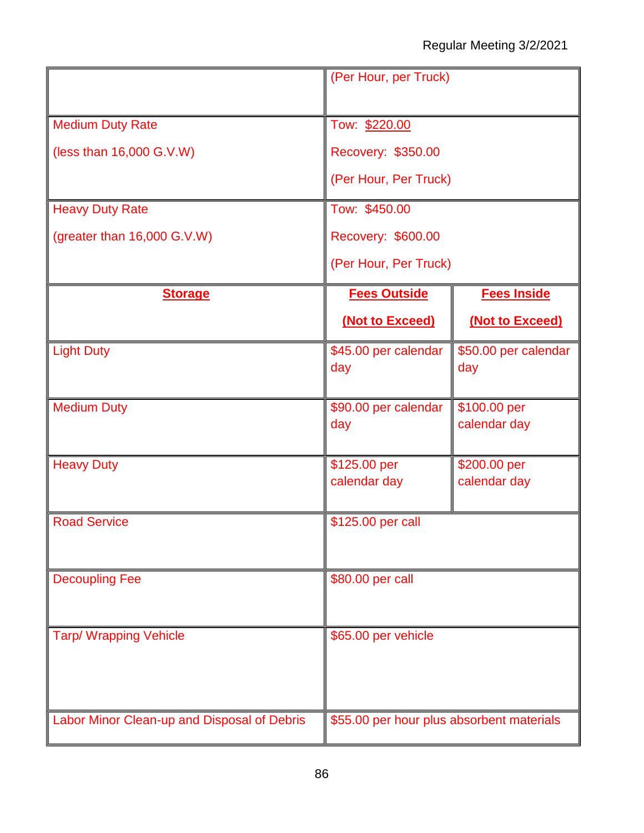|                                             | (Per Hour, per Truck)                                       |                              |  |  |  |
|---------------------------------------------|-------------------------------------------------------------|------------------------------|--|--|--|
| <b>Medium Duty Rate</b>                     | Tow: \$220.00                                               |                              |  |  |  |
| (less than 16,000 G.V.W)                    | Recovery: \$350.00                                          |                              |  |  |  |
|                                             | (Per Hour, Per Truck)                                       |                              |  |  |  |
|                                             |                                                             |                              |  |  |  |
| <b>Heavy Duty Rate</b>                      | Tow: \$450.00                                               |                              |  |  |  |
| (greater than 16,000 G.V.W)                 | Recovery: \$600.00                                          |                              |  |  |  |
|                                             | (Per Hour, Per Truck)                                       |                              |  |  |  |
| <b>Storage</b>                              | <b>Fees Outside</b>                                         | <b>Fees Inside</b>           |  |  |  |
|                                             | (Not to Exceed)                                             | (Not to Exceed)              |  |  |  |
| <b>Light Duty</b>                           | \$45.00 per calendar<br>day                                 | \$50.00 per calendar<br>day  |  |  |  |
| <b>Medium Duty</b>                          | \$90.00 per calendar<br>\$100.00 per<br>calendar day<br>day |                              |  |  |  |
| <b>Heavy Duty</b>                           | \$125.00 per<br>calendar day                                | \$200.00 per<br>calendar day |  |  |  |
| <b>Road Service</b>                         | \$125.00 per call                                           |                              |  |  |  |
| <b>Decoupling Fee</b>                       | \$80.00 per call                                            |                              |  |  |  |
| <b>Tarp/ Wrapping Vehicle</b>               | \$65.00 per vehicle                                         |                              |  |  |  |
| Labor Minor Clean-up and Disposal of Debris | \$55.00 per hour plus absorbent materials                   |                              |  |  |  |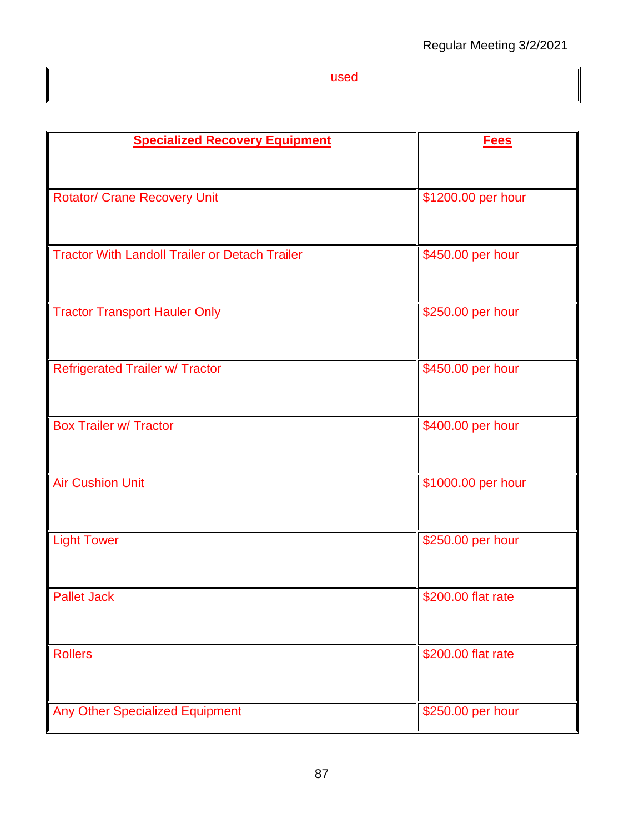| <b>Specialized Recovery Equipment</b>                 | <b>Fees</b>        |
|-------------------------------------------------------|--------------------|
|                                                       |                    |
| <b>Rotator/ Crane Recovery Unit</b>                   | \$1200.00 per hour |
|                                                       |                    |
|                                                       |                    |
| <b>Tractor With Landoll Trailer or Detach Trailer</b> | \$450.00 per hour  |
|                                                       |                    |
| <b>Tractor Transport Hauler Only</b>                  | \$250.00 per hour  |
|                                                       |                    |
| <b>Refrigerated Trailer w/ Tractor</b>                | \$450.00 per hour  |
|                                                       |                    |
| <b>Box Trailer w/ Tractor</b>                         | \$400.00 per hour  |
|                                                       |                    |
|                                                       |                    |
| <b>Air Cushion Unit</b>                               | \$1000.00 per hour |
|                                                       |                    |
| <b>Light Tower</b>                                    | \$250.00 per hour  |
|                                                       |                    |
| <b>Pallet Jack</b>                                    | \$200.00 flat rate |
|                                                       |                    |
| <b>Rollers</b>                                        | \$200.00 flat rate |
|                                                       |                    |
|                                                       |                    |
| Any Other Specialized Equipment                       | \$250.00 per hour  |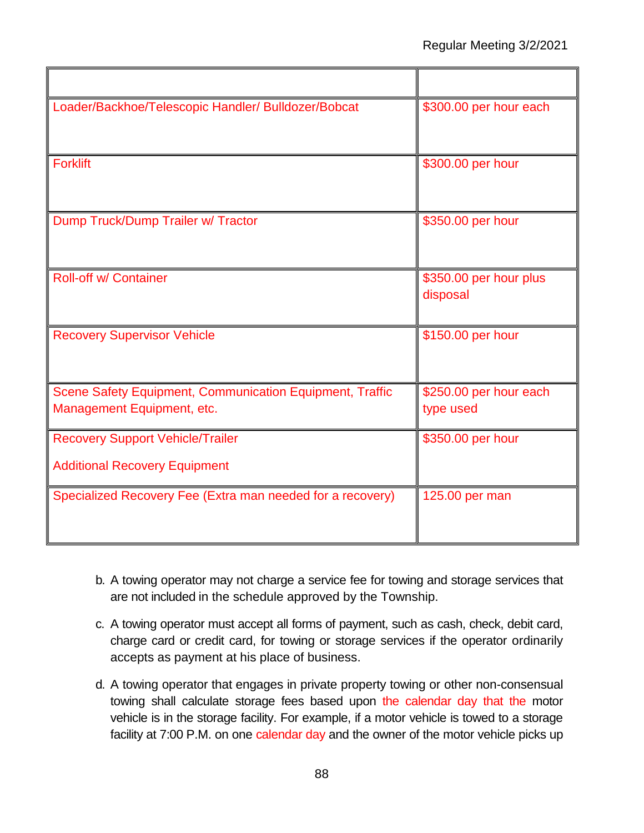| Loader/Backhoe/Telescopic Handler/ Bulldozer/Bobcat                                    | \$300.00 per hour each              |
|----------------------------------------------------------------------------------------|-------------------------------------|
| <b>Forklift</b>                                                                        | \$300.00 per hour                   |
| Dump Truck/Dump Trailer w/ Tractor                                                     | \$350.00 per hour                   |
| <b>Roll-off w/ Container</b>                                                           | \$350.00 per hour plus<br>disposal  |
| <b>Recovery Supervisor Vehicle</b>                                                     | \$150.00 per hour                   |
| Scene Safety Equipment, Communication Equipment, Traffic<br>Management Equipment, etc. | \$250.00 per hour each<br>type used |
| <b>Recovery Support Vehicle/Trailer</b><br><b>Additional Recovery Equipment</b>        | \$350.00 per hour                   |
| Specialized Recovery Fee (Extra man needed for a recovery)                             | 125.00 per man                      |

- b. A towing operator may not charge a service fee for towing and storage services that are not included in the schedule approved by the Township.
- c. A towing operator must accept all forms of payment, such as cash, check, debit card, charge card or credit card, for towing or storage services if the operator ordinarily accepts as payment at his place of business.
- d. A towing operator that engages in private property towing or other non-consensual towing shall calculate storage fees based upon the calendar day that the motor vehicle is in the storage facility. For example, if a motor vehicle is towed to a storage facility at 7:00 P.M. on one calendar day and the owner of the motor vehicle picks up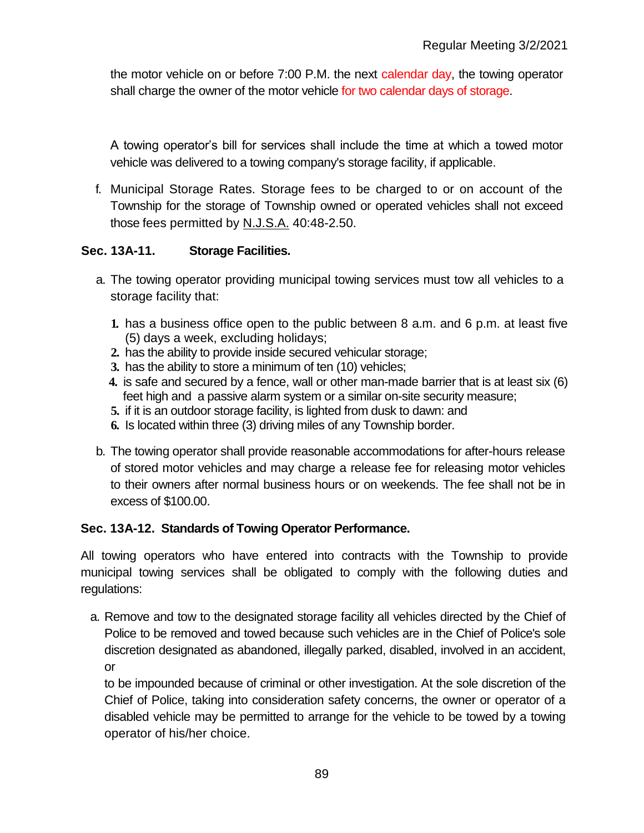the motor vehicle on or before 7:00 P.M. the next calendar day, the towing operator shall charge the owner of the motor vehicle for two calendar days of storage.

A towing operator's bill for services shall include the time at which a towed motor vehicle was delivered to a towing company's storage facility, if applicable.

f. Municipal Storage Rates. Storage fees to be charged to or on account of the Township for the storage of Township owned or operated vehicles shall not exceed those fees permitted by N.J.S.A. 40:48-2.50.

# **Sec. 13A-11. Storage Facilities.**

- a. The towing operator providing municipal towing services must tow all vehicles to a storage facility that:
	- **1.** has a business office open to the public between 8 a.m. and 6 p.m. at least five (5) days a week, excluding holidays;
	- **2.** has the ability to provide inside secured vehicular storage;
	- **3.** has the ability to store a minimum of ten (10) vehicles;
	- **4.** is safe and secured by a fence, wall or other man-made barrier that is at least six (6) feet high and a passive alarm system or a similar on-site security measure;
	- **5.** if it is an outdoor storage facility, is lighted from dusk to dawn: and
	- **6.** Is located within three (3) driving miles of any Township border.
- b. The towing operator shall provide reasonable accommodations for after-hours release of stored motor vehicles and may charge a release fee for releasing motor vehicles to their owners after normal business hours or on weekends. The fee shall not be in excess of \$100.00.

# **Sec. 13A-12. Standards of Towing Operator Performance.**

All towing operators who have entered into contracts with the Township to provide municipal towing services shall be obligated to comply with the following duties and regulations:

a. Remove and tow to the designated storage facility all vehicles directed by the Chief of Police to be removed and towed because such vehicles are in the Chief of Police's sole discretion designated as abandoned, illegally parked, disabled, involved in an accident, or

to be impounded because of criminal or other investigation. At the sole discretion of the Chief of Police, taking into consideration safety concerns, the owner or operator of a disabled vehicle may be permitted to arrange for the vehicle to be towed by a towing operator of his/her choice.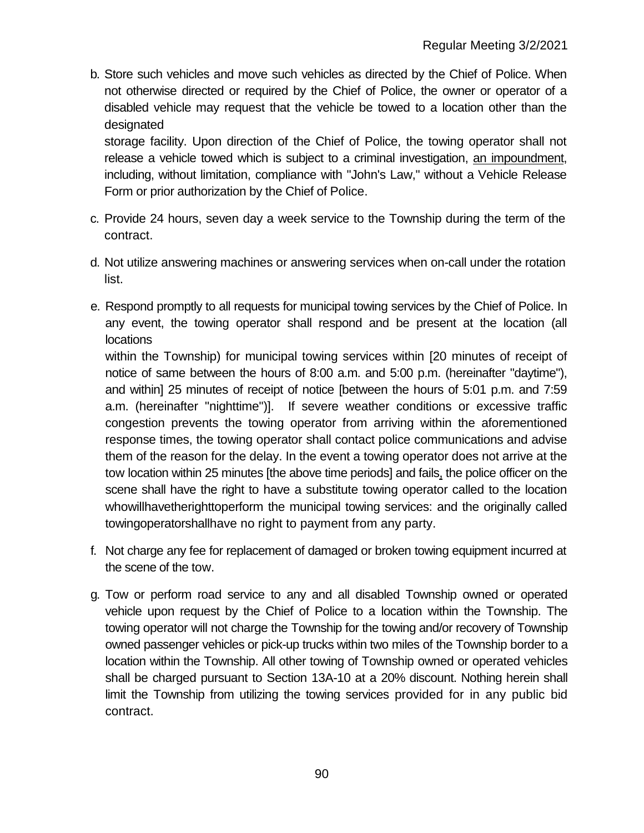b. Store such vehicles and move such vehicles as directed by the Chief of Police. When not otherwise directed or required by the Chief of Police, the owner or operator of a disabled vehicle may request that the vehicle be towed to a location other than the designated

storage facility. Upon direction of the Chief of Police, the towing operator shall not release a vehicle towed which is subject to a criminal investigation, an impoundment, including, without limitation, compliance with "John's Law," without a Vehicle Release Form or prior authorization by the Chief of Police.

- c. Provide 24 hours, seven day a week service to the Township during the term of the contract.
- d. Not utilize answering machines or answering services when on-call under the rotation list.
- e. Respond promptly to all requests for municipal towing services by the Chief of Police. In any event, the towing operator shall respond and be present at the location (all locations

within the Township) for municipal towing services within [20 minutes of receipt of notice of same between the hours of 8:00 a.m. and 5:00 p.m. (hereinafter "daytime"), and within] 25 minutes of receipt of notice [between the hours of 5:01 p.m. and 7:59 a.m. (hereinafter "nighttime")]. If severe weather conditions or excessive traffic congestion prevents the towing operator from arriving within the aforementioned response times, the towing operator shall contact police communications and advise them of the reason for the delay. In the event a towing operator does not arrive at the tow location within 25 minutes [the above time periods] and fails, the police officer on the scene shall have the right to have a substitute towing operator called to the location whowillhavetherighttoperform the municipal towing services: and the originally called towingoperatorshallhave no right to payment from any party.

- f. Not charge any fee for replacement of damaged or broken towing equipment incurred at the scene of the tow.
- g. Tow or perform road service to any and all disabled Township owned or operated vehicle upon request by the Chief of Police to a location within the Township. The towing operator will not charge the Township for the towing and/or recovery of Township owned passenger vehicles or pick-up trucks within two miles of the Township border to a location within the Township. All other towing of Township owned or operated vehicles shall be charged pursuant to Section 13A-10 at a 20% discount. Nothing herein shall limit the Township from utilizing the towing services provided for in any public bid contract.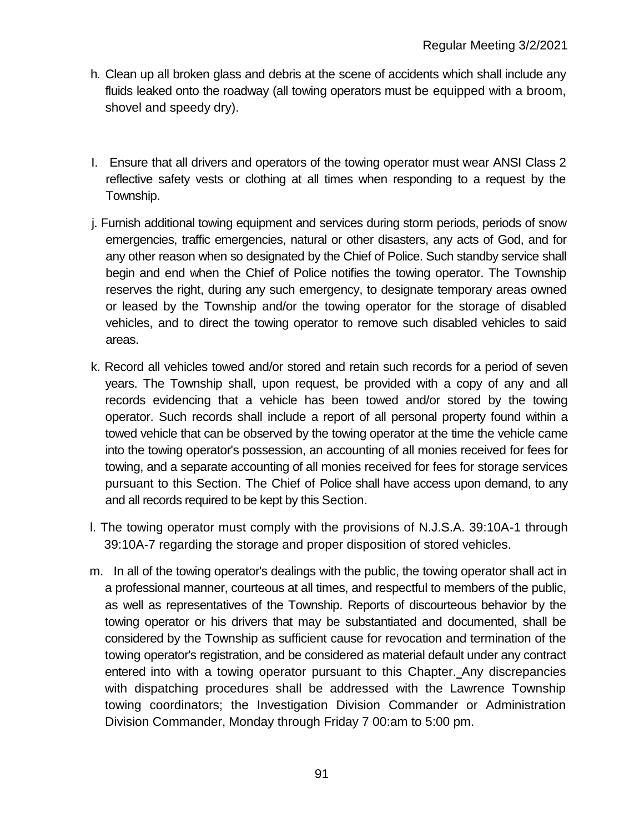- h. Clean up all broken glass and debris at the scene of accidents which shall include any fluids leaked onto the roadway (all towing operators must be equipped with a broom, shovel and speedy dry).
- I. Ensure that all drivers and operators of the towing operator must wear ANSI Class 2 reflective safety vests or clothing at all times when responding to a request by the Township.
- j. Furnish additional towing equipment and services during storm periods, periods of snow emergencies, traffic emergencies, natural or other disasters, any acts of God, and for any other reason when so designated by the Chief of Police. Such standby service shall begin and end when the Chief of Police notifies the towing operator. The Township reserves the right, during any such emergency, to designate temporary areas owned or leased by the Township and/or the towing operator for the storage of disabled vehicles, and to direct the towing operator to remove such disabled vehicles to said areas.
- k. Record all vehicles towed and/or stored and retain such records for a period of seven years. The Township shall, upon request, be provided with a copy of any and all records evidencing that a vehicle has been towed and/or stored by the towing operator. Such records shall include a report of all personal property found within a towed vehicle that can be observed by the towing operator at the time the vehicle came into the towing operator's possession, an accounting of all monies received for fees for towing, and a separate accounting of all monies received for fees for storage services pursuant to this Section. The Chief of Police shall have access upon demand, to any and all records required to be kept by this Section.
- l. The towing operator must comply with the provisions of N.J.S.A. 39:10A-1 through 39:10A-7 regarding the storage and proper disposition of stored vehicles.
- m. In all of the towing operator's dealings with the public, the towing operator shall act in a professional manner, courteous at all times, and respectful to members of the public, as well as representatives of the Township. Reports of discourteous behavior by the towing operator or his drivers that may be substantiated and documented, shall be considered by the Township as sufficient cause for revocation and termination of the towing operator's registration, and be considered as material default under any contract entered into with a towing operator pursuant to this Chapter. Any discrepancies with dispatching procedures shall be addressed with the Lawrence Township towing coordinators; the Investigation Division Commander or Administration Division Commander, Monday through Friday 7 00:am to 5:00 pm.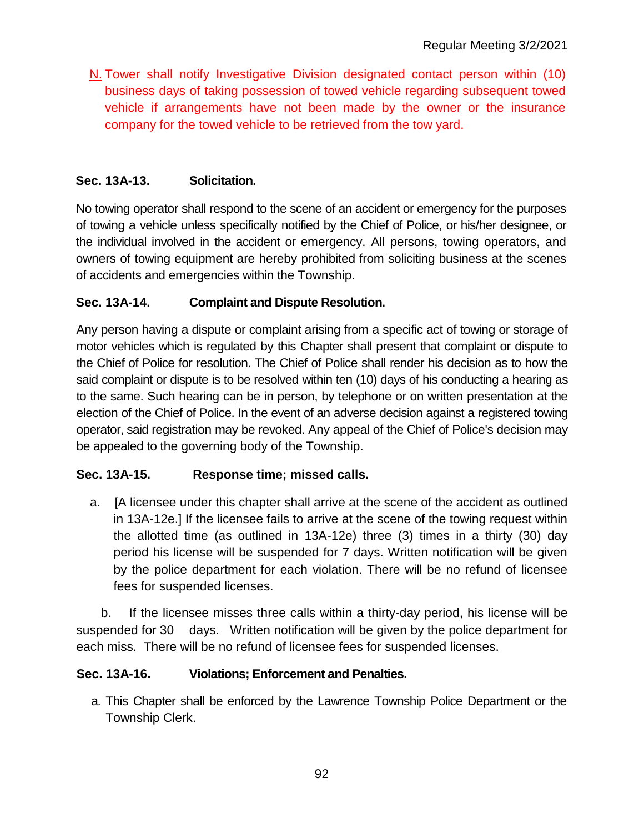N. Tower shall notify Investigative Division designated contact person within (10) business days of taking possession of towed vehicle regarding subsequent towed vehicle if arrangements have not been made by the owner or the insurance company for the towed vehicle to be retrieved from the tow yard.

# **Sec. 13A-13. Solicitation.**

No towing operator shall respond to the scene of an accident or emergency for the purposes of towing a vehicle unless specifically notified by the Chief of Police, or his/her designee, or the individual involved in the accident or emergency. All persons, towing operators, and owners of towing equipment are hereby prohibited from soliciting business at the scenes of accidents and emergencies within the Township.

### **Sec. 13A-14. Complaint and Dispute Resolution.**

Any person having a dispute or complaint arising from a specific act of towing or storage of motor vehicles which is regulated by this Chapter shall present that complaint or dispute to the Chief of Police for resolution. The Chief of Police shall render his decision as to how the said complaint or dispute is to be resolved within ten (10) days of his conducting a hearing as to the same. Such hearing can be in person, by telephone or on written presentation at the election of the Chief of Police. In the event of an adverse decision against a registered towing operator, said registration may be revoked. Any appeal of the Chief of Police's decision may be appealed to the governing body of the Township.

# **Sec. 13A-15. Response time; missed calls.**

a. [A licensee under this chapter shall arrive at the scene of the accident as outlined in 13A-12e.] If the licensee fails to arrive at the scene of the towing request within the allotted time (as outlined in 13A-12e) three (3) times in a thirty (30) day period his license will be suspended for 7 days. Written notification will be given by the police department for each violation. There will be no refund of licensee fees for suspended licenses.

 b. If the licensee misses three calls within a thirty-day period, his license will be suspended for 30 days. Written notification will be given by the police department for each miss. There will be no refund of licensee fees for suspended licenses.

### **Sec. 13A-16. Violations; Enforcement and Penalties.**

a. This Chapter shall be enforced by the Lawrence Township Police Department or the Township Clerk.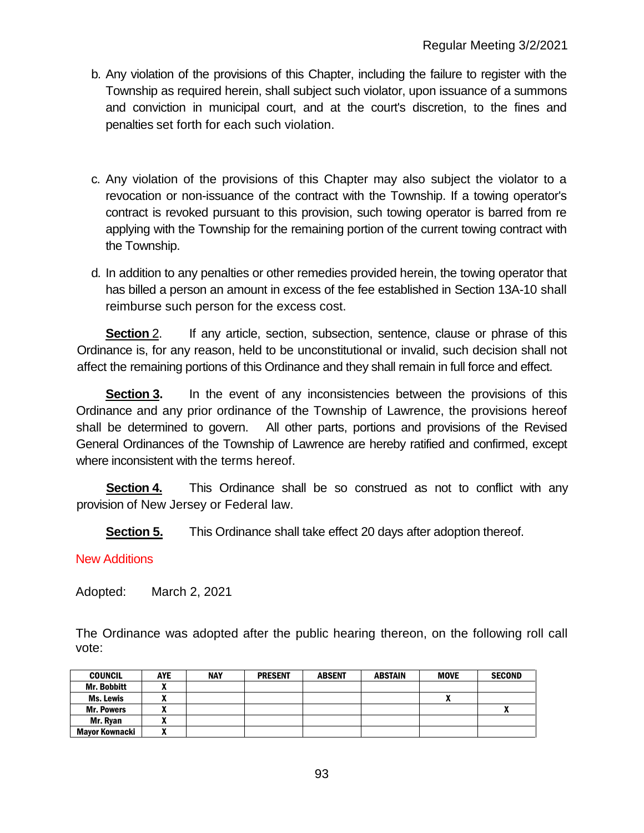- b. Any violation of the provisions of this Chapter, including the failure to register with the Township as required herein, shall subject such violator, upon issuance of a summons and conviction in municipal court, and at the court's discretion, to the fines and penalties set forth for each such violation.
- c. Any violation of the provisions of this Chapter may also subject the violator to a revocation or non-issuance of the contract with the Township. If a towing operator's contract is revoked pursuant to this provision, such towing operator is barred from re applying with the Township for the remaining portion of the current towing contract with the Township.
- d. In addition to any penalties or other remedies provided herein, the towing operator that has billed a person an amount in excess of the fee established in Section 13A-10 shall reimburse such person for the excess cost.

**Section** 2. If any article, section, subsection, sentence, clause or phrase of this Ordinance is, for any reason, held to be unconstitutional or invalid, such decision shall not affect the remaining portions of this Ordinance and they shall remain in full force and effect.

**Section 3.** In the event of any inconsistencies between the provisions of this Ordinance and any prior ordinance of the Township of Lawrence, the provisions hereof shall be determined to govern. All other parts, portions and provisions of the Revised General Ordinances of the Township of Lawrence are hereby ratified and confirmed, except where inconsistent with the terms hereof.

**Section 4.** This Ordinance shall be so construed as not to conflict with any provision of New Jersey or Federal law.

**Section 5.** This Ordinance shall take effect 20 days after adoption thereof.

### New Additions

Adopted: March 2, 2021

The Ordinance was adopted after the public hearing thereon, on the following roll call vote:

| <b>COUNCIL</b>        | <b>AYE</b> | <b>NAY</b> | <b>PRESENT</b> | <b>ABSENT</b> | <b>ABSTAIN</b> | <b>MOVE</b> | <b>SECOND</b> |
|-----------------------|------------|------------|----------------|---------------|----------------|-------------|---------------|
| <b>Mr. Bobbitt</b>    |            |            |                |               |                |             |               |
| Ms. Lewis             |            |            |                |               |                |             |               |
| <b>Mr. Powers</b>     |            |            |                |               |                |             |               |
| Mr. Rvan              |            |            |                |               |                |             |               |
| <b>Mavor Kownacki</b> | ,,,        |            |                |               |                |             |               |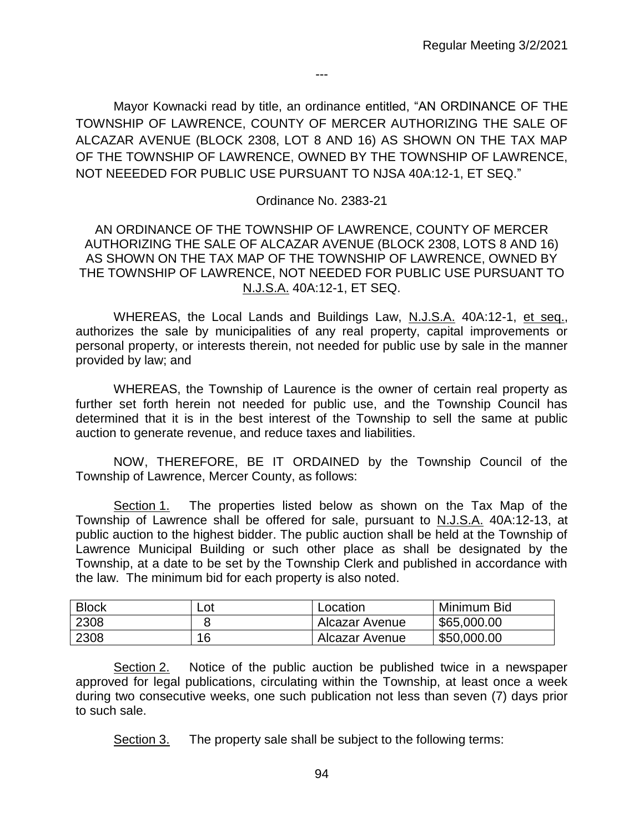Mayor Kownacki read by title, an ordinance entitled, "AN ORDINANCE OF THE TOWNSHIP OF LAWRENCE, COUNTY OF MERCER AUTHORIZING THE SALE OF ALCAZAR AVENUE (BLOCK 2308, LOT 8 AND 16) AS SHOWN ON THE TAX MAP OF THE TOWNSHIP OF LAWRENCE, OWNED BY THE TOWNSHIP OF LAWRENCE, NOT NEEEDED FOR PUBLIC USE PURSUANT TO NJSA 40A:12-1, ET SEQ."

---

### Ordinance No. 2383-21

AN ORDINANCE OF THE TOWNSHIP OF LAWRENCE, COUNTY OF MERCER AUTHORIZING THE SALE OF ALCAZAR AVENUE (BLOCK 2308, LOTS 8 AND 16) AS SHOWN ON THE TAX MAP OF THE TOWNSHIP OF LAWRENCE, OWNED BY THE TOWNSHIP OF LAWRENCE, NOT NEEDED FOR PUBLIC USE PURSUANT TO N.J.S.A. 40A:12-1, ET SEQ.

WHEREAS, the Local Lands and Buildings Law, N.J.S.A. 40A:12-1, et seq., authorizes the sale by municipalities of any real property, capital improvements or personal property, or interests therein, not needed for public use by sale in the manner provided by law; and

WHEREAS, the Township of Laurence is the owner of certain real property as further set forth herein not needed for public use, and the Township Council has determined that it is in the best interest of the Township to sell the same at public auction to generate revenue, and reduce taxes and liabilities.

NOW, THEREFORE, BE IT ORDAINED by the Township Council of the Township of Lawrence, Mercer County, as follows:

Section 1. The properties listed below as shown on the Tax Map of the Township of Lawrence shall be offered for sale, pursuant to N.J.S.A. 40A:12-13, at public auction to the highest bidder. The public auction shall be held at the Township of Lawrence Municipal Building or such other place as shall be designated by the Township, at a date to be set by the Township Clerk and published in accordance with the law. The minimum bid for each property is also noted.

| <b>Block</b> | Lot | Location       | Minimum Bid |
|--------------|-----|----------------|-------------|
| 2308         |     | Alcazar Avenue | \$65,000.00 |
| 2308         | 16  | Alcazar Avenue | \$50,000.00 |

Section 2. Notice of the public auction be published twice in a newspaper approved for legal publications, circulating within the Township, at least once a week during two consecutive weeks, one such publication not less than seven (7) days prior to such sale.

Section 3. The property sale shall be subject to the following terms: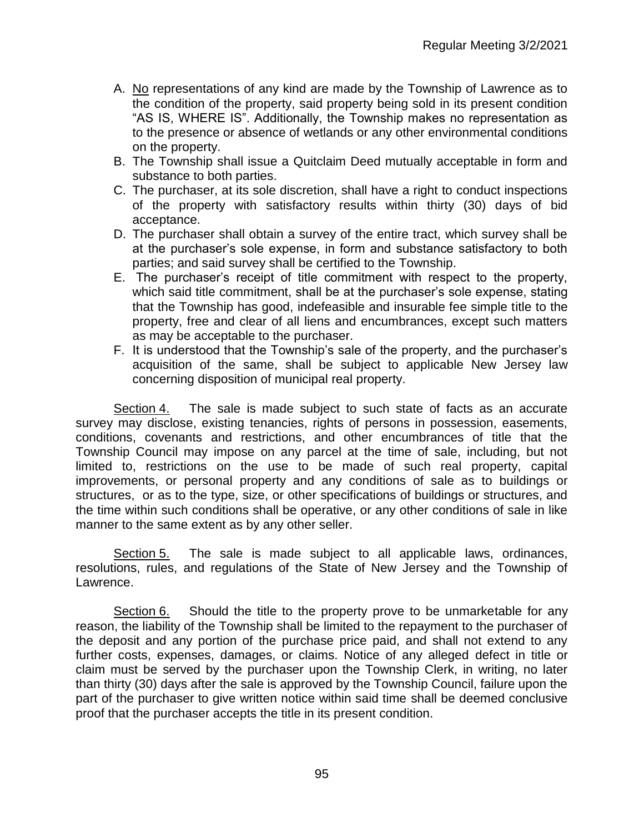- A. No representations of any kind are made by the Township of Lawrence as to the condition of the property, said property being sold in its present condition "AS IS, WHERE IS". Additionally, the Township makes no representation as to the presence or absence of wetlands or any other environmental conditions on the property.
- B. The Township shall issue a Quitclaim Deed mutually acceptable in form and substance to both parties.
- C. The purchaser, at its sole discretion, shall have a right to conduct inspections of the property with satisfactory results within thirty (30) days of bid acceptance.
- D. The purchaser shall obtain a survey of the entire tract, which survey shall be at the purchaser's sole expense, in form and substance satisfactory to both parties; and said survey shall be certified to the Township.
- E. The purchaser's receipt of title commitment with respect to the property, which said title commitment, shall be at the purchaser's sole expense, stating that the Township has good, indefeasible and insurable fee simple title to the property, free and clear of all liens and encumbrances, except such matters as may be acceptable to the purchaser.
- F. It is understood that the Township's sale of the property, and the purchaser's acquisition of the same, shall be subject to applicable New Jersey law concerning disposition of municipal real property.

Section 4. The sale is made subject to such state of facts as an accurate survey may disclose, existing tenancies, rights of persons in possession, easements, conditions, covenants and restrictions, and other encumbrances of title that the Township Council may impose on any parcel at the time of sale, including, but not limited to, restrictions on the use to be made of such real property, capital improvements, or personal property and any conditions of sale as to buildings or structures, or as to the type, size, or other specifications of buildings or structures, and the time within such conditions shall be operative, or any other conditions of sale in like manner to the same extent as by any other seller.

Section 5. The sale is made subject to all applicable laws, ordinances, resolutions, rules, and regulations of the State of New Jersey and the Township of Lawrence.

Section 6. Should the title to the property prove to be unmarketable for any reason, the liability of the Township shall be limited to the repayment to the purchaser of the deposit and any portion of the purchase price paid, and shall not extend to any further costs, expenses, damages, or claims. Notice of any alleged defect in title or claim must be served by the purchaser upon the Township Clerk, in writing, no later than thirty (30) days after the sale is approved by the Township Council, failure upon the part of the purchaser to give written notice within said time shall be deemed conclusive proof that the purchaser accepts the title in its present condition.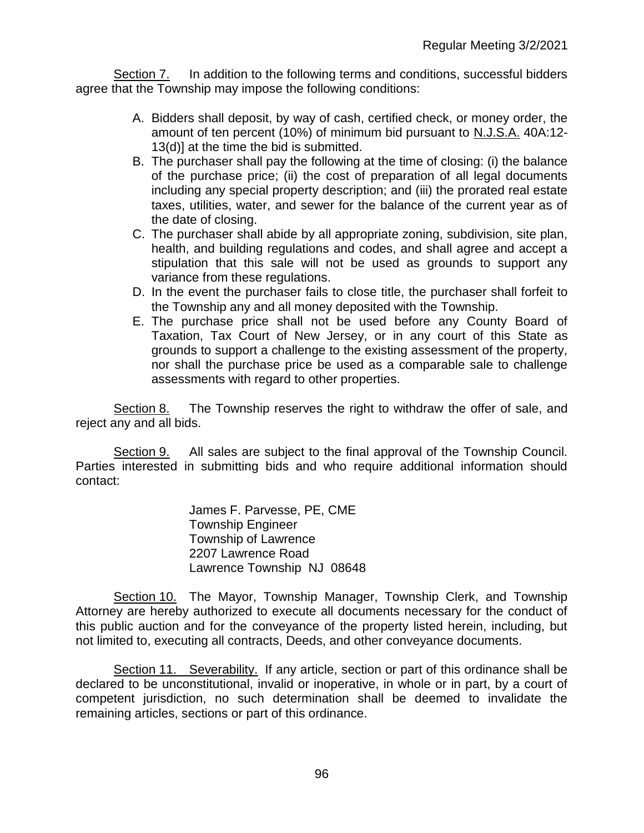Section 7. In addition to the following terms and conditions, successful bidders agree that the Township may impose the following conditions:

- A. Bidders shall deposit, by way of cash, certified check, or money order, the amount of ten percent (10%) of minimum bid pursuant to N.J.S.A. 40A:12- 13(d)] at the time the bid is submitted.
- B. The purchaser shall pay the following at the time of closing: (i) the balance of the purchase price; (ii) the cost of preparation of all legal documents including any special property description; and (iii) the prorated real estate taxes, utilities, water, and sewer for the balance of the current year as of the date of closing.
- C. The purchaser shall abide by all appropriate zoning, subdivision, site plan, health, and building regulations and codes, and shall agree and accept a stipulation that this sale will not be used as grounds to support any variance from these regulations.
- D. In the event the purchaser fails to close title, the purchaser shall forfeit to the Township any and all money deposited with the Township.
- E. The purchase price shall not be used before any County Board of Taxation, Tax Court of New Jersey, or in any court of this State as grounds to support a challenge to the existing assessment of the property, nor shall the purchase price be used as a comparable sale to challenge assessments with regard to other properties.

Section 8. The Township reserves the right to withdraw the offer of sale, and reject any and all bids.

Section 9. All sales are subject to the final approval of the Township Council. Parties interested in submitting bids and who require additional information should contact:

> James F. Parvesse, PE, CME Township Engineer Township of Lawrence 2207 Lawrence Road Lawrence Township NJ 08648

Section 10. The Mayor, Township Manager, Township Clerk, and Township Attorney are hereby authorized to execute all documents necessary for the conduct of this public auction and for the conveyance of the property listed herein, including, but not limited to, executing all contracts, Deeds, and other conveyance documents.

Section 11. Severability. If any article, section or part of this ordinance shall be declared to be unconstitutional, invalid or inoperative, in whole or in part, by a court of competent jurisdiction, no such determination shall be deemed to invalidate the remaining articles, sections or part of this ordinance.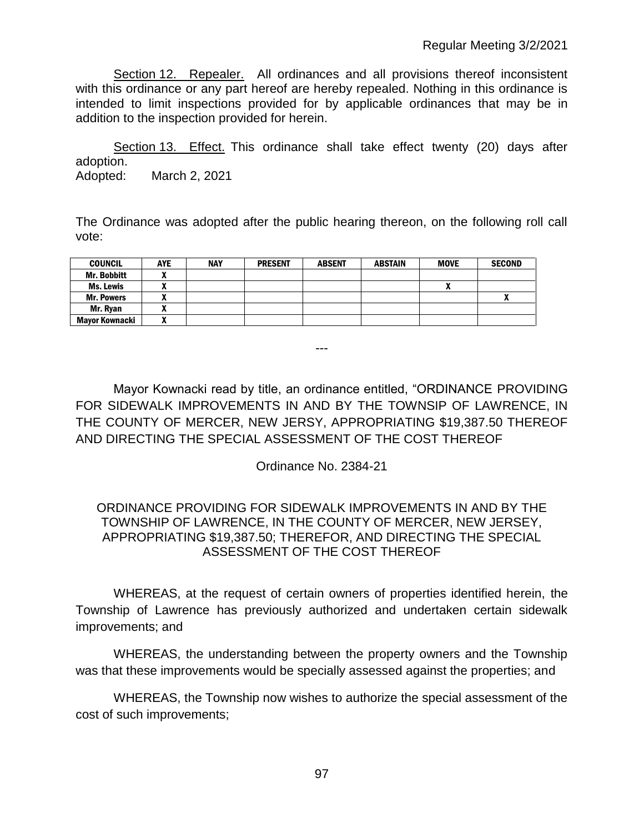Section 12. Repealer.All ordinances and all provisions thereof inconsistent with this ordinance or any part hereof are hereby repealed. Nothing in this ordinance is intended to limit inspections provided for by applicable ordinances that may be in addition to the inspection provided for herein.

Section 13. Effect. This ordinance shall take effect twenty (20) days after adoption. Adopted: March 2, 2021

The Ordinance was adopted after the public hearing thereon, on the following roll call vote:

| <b>COUNCIL</b>        | <b>AYE</b> | <b>NAY</b> | <b>PRESENT</b> | <b>ABSENT</b> | <b>ABSTAIN</b> | <b>MOVE</b> | <b>SECOND</b> |
|-----------------------|------------|------------|----------------|---------------|----------------|-------------|---------------|
| Mr. Bobbitt           |            |            |                |               |                |             |               |
| Ms. Lewis             |            |            |                |               |                |             |               |
| <b>Mr. Powers</b>     |            |            |                |               |                |             |               |
| Mr. Rvan              |            |            |                |               |                |             |               |
| <b>Mavor Kownacki</b> |            |            |                |               |                |             |               |

Mayor Kownacki read by title, an ordinance entitled, "ORDINANCE PROVIDING FOR SIDEWALK IMPROVEMENTS IN AND BY THE TOWNSIP OF LAWRENCE, IN THE COUNTY OF MERCER, NEW JERSY, APPROPRIATING \$19,387.50 THEREOF AND DIRECTING THE SPECIAL ASSESSMENT OF THE COST THEREOF

---

Ordinance No. 2384-21

### ORDINANCE PROVIDING FOR SIDEWALK IMPROVEMENTS IN AND BY THE TOWNSHIP OF LAWRENCE, IN THE COUNTY OF MERCER, NEW JERSEY, APPROPRIATING \$19,387.50; THEREFOR, AND DIRECTING THE SPECIAL ASSESSMENT OF THE COST THEREOF

WHEREAS, at the request of certain owners of properties identified herein, the Township of Lawrence has previously authorized and undertaken certain sidewalk improvements; and

WHEREAS, the understanding between the property owners and the Township was that these improvements would be specially assessed against the properties; and

WHEREAS, the Township now wishes to authorize the special assessment of the cost of such improvements;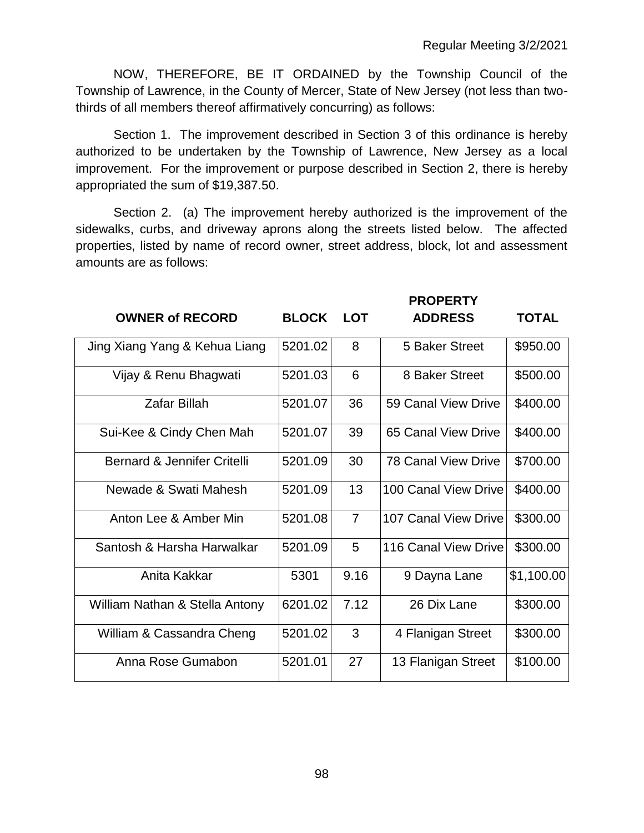NOW, THEREFORE, BE IT ORDAINED by the Township Council of the Township of Lawrence, in the County of Mercer, State of New Jersey (not less than twothirds of all members thereof affirmatively concurring) as follows:

Section 1. The improvement described in Section 3 of this ordinance is hereby authorized to be undertaken by the Township of Lawrence, New Jersey as a local improvement. For the improvement or purpose described in Section 2, there is hereby appropriated the sum of \$19,387.50.

Section 2. (a) The improvement hereby authorized is the improvement of the sidewalks, curbs, and driveway aprons along the streets listed below. The affected properties, listed by name of record owner, street address, block, lot and assessment amounts are as follows:

|                                |              |                | <b>PROPERTY</b>      |              |
|--------------------------------|--------------|----------------|----------------------|--------------|
| <b>OWNER of RECORD</b>         | <b>BLOCK</b> | <b>LOT</b>     | <b>ADDRESS</b>       | <b>TOTAL</b> |
| Jing Xiang Yang & Kehua Liang  | 5201.02      | 8              | 5 Baker Street       | \$950.00     |
| Vijay & Renu Bhagwati          | 5201.03      | 6              | 8 Baker Street       | \$500.00     |
| <b>Zafar Billah</b>            | 5201.07      | 36             | 59 Canal View Drive  | \$400.00     |
| Sui-Kee & Cindy Chen Mah       | 5201.07      | 39             | 65 Canal View Drive  | \$400.00     |
| Bernard & Jennifer Critelli    | 5201.09      | 30             | 78 Canal View Drive  | \$700.00     |
| Newade & Swati Mahesh          | 5201.09      | 13             | 100 Canal View Drive | \$400.00     |
| Anton Lee & Amber Min          | 5201.08      | $\overline{7}$ | 107 Canal View Drive | \$300.00     |
| Santosh & Harsha Harwalkar     | 5201.09      | 5              | 116 Canal View Drive | \$300.00     |
| Anita Kakkar                   | 5301         | 9.16           | 9 Dayna Lane         | \$1,100.00   |
| William Nathan & Stella Antony | 6201.02      | 7.12           | 26 Dix Lane          | \$300.00     |
| William & Cassandra Cheng      | 5201.02      | 3              | 4 Flanigan Street    | \$300.00     |
| Anna Rose Gumabon              | 5201.01      | 27             | 13 Flanigan Street   | \$100.00     |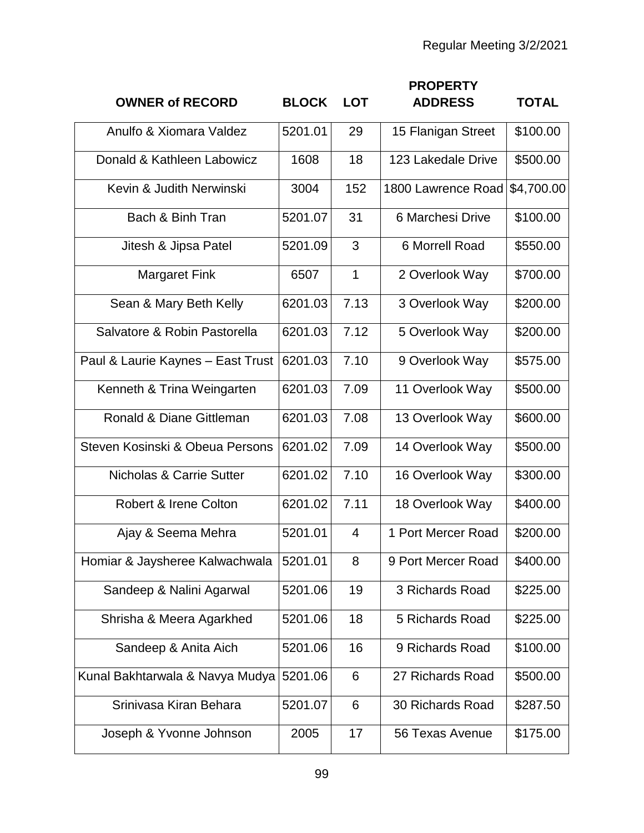| <b>OWNER of RECORD</b>              | <b>BLOCK</b> | <b>LOT</b>     | <b>PROPERTY</b><br><b>ADDRESS</b> | <b>TOTAL</b> |
|-------------------------------------|--------------|----------------|-----------------------------------|--------------|
| Anulfo & Xiomara Valdez             | 5201.01      | 29             | 15 Flanigan Street                | \$100.00     |
| Donald & Kathleen Labowicz          | 1608         | 18             | 123 Lakedale Drive                | \$500.00     |
| Kevin & Judith Nerwinski            | 3004         | 152            | 1800 Lawrence Road                | \$4,700.00   |
| Bach & Binh Tran                    | 5201.07      | 31             | 6 Marchesi Drive                  | \$100.00     |
| Jitesh & Jipsa Patel                | 5201.09      | 3              | 6 Morrell Road                    | \$550.00     |
| <b>Margaret Fink</b>                | 6507         | $\mathbf 1$    | 2 Overlook Way                    | \$700.00     |
| Sean & Mary Beth Kelly              | 6201.03      | 7.13           | 3 Overlook Way                    | \$200.00     |
| Salvatore & Robin Pastorella        | 6201.03      | 7.12           | 5 Overlook Way                    | \$200.00     |
| Paul & Laurie Kaynes - East Trust   | 6201.03      | 7.10           | 9 Overlook Way                    | \$575.00     |
| Kenneth & Trina Weingarten          | 6201.03      | 7.09           | 11 Overlook Way                   | \$500.00     |
| Ronald & Diane Gittleman            | 6201.03      | 7.08           | 13 Overlook Way                   | \$600.00     |
| Steven Kosinski & Obeua Persons     | 6201.02      | 7.09           | 14 Overlook Way                   | \$500.00     |
| <b>Nicholas &amp; Carrie Sutter</b> | 6201.02      | 7.10           | 16 Overlook Way                   | \$300.00     |
| Robert & Irene Colton               | 6201.02      | 7.11           | 18 Overlook Way                   | \$400.00     |
| Ajay & Seema Mehra                  | 5201.01      | $\overline{4}$ | 1 Port Mercer Road                | \$200.00     |
| Homiar & Jaysheree Kalwachwala      | 5201.01      | 8              | 9 Port Mercer Road                | \$400.00     |
| Sandeep & Nalini Agarwal            | 5201.06      | 19             | 3 Richards Road                   | \$225.00     |
| Shrisha & Meera Agarkhed            | 5201.06      | 18             | 5 Richards Road                   | \$225.00     |
| Sandeep & Anita Aich                | 5201.06      | 16             | 9 Richards Road                   | \$100.00     |
| Kunal Bakhtarwala & Navya Mudya     | 5201.06      | 6              | 27 Richards Road                  | \$500.00     |
| Srinivasa Kiran Behara              | 5201.07      | 6              | 30 Richards Road                  | \$287.50     |
| Joseph & Yvonne Johnson             | 2005         | 17             | 56 Texas Avenue                   | \$175.00     |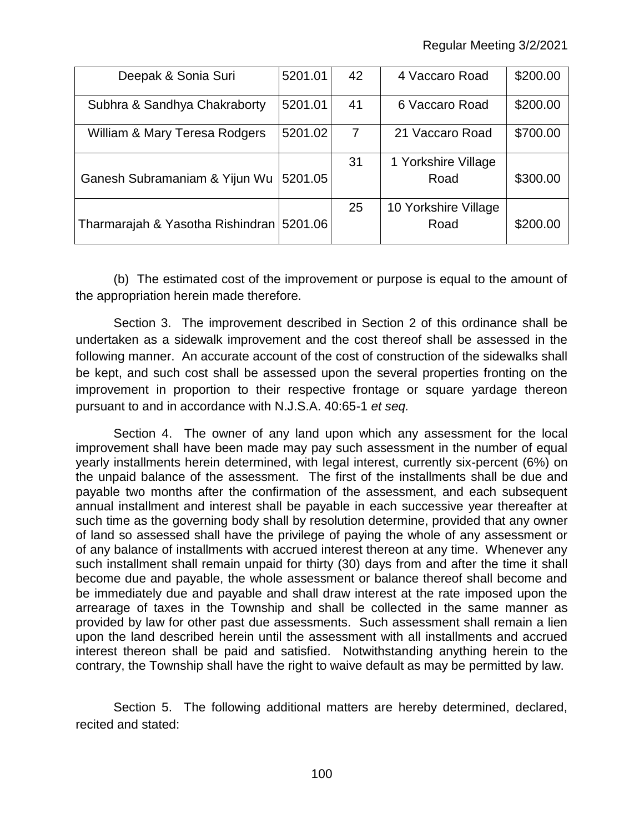| Deepak & Sonia Suri                        | 5201.01 | 42 | 4 Vaccaro Road       | \$200.00 |
|--------------------------------------------|---------|----|----------------------|----------|
| Subhra & Sandhya Chakraborty               | 5201.01 | 41 | 6 Vaccaro Road       | \$200.00 |
| William & Mary Teresa Rodgers              | 5201.02 | 7  | 21 Vaccaro Road      | \$700.00 |
|                                            |         | 31 | 1 Yorkshire Village  |          |
| Ganesh Subramaniam & Yijun Wu              | 5201.05 |    | Road                 | \$300.00 |
|                                            |         | 25 | 10 Yorkshire Village |          |
| Tharmarajah & Yasotha Rishindran   5201.06 |         |    | Road                 | \$200.00 |

(b) The estimated cost of the improvement or purpose is equal to the amount of the appropriation herein made therefore.

Section 3. The improvement described in Section 2 of this ordinance shall be undertaken as a sidewalk improvement and the cost thereof shall be assessed in the following manner. An accurate account of the cost of construction of the sidewalks shall be kept, and such cost shall be assessed upon the several properties fronting on the improvement in proportion to their respective frontage or square yardage thereon pursuant to and in accordance with N.J.S.A. 40:65-1 *et seq.*

Section 4. The owner of any land upon which any assessment for the local improvement shall have been made may pay such assessment in the number of equal yearly installments herein determined, with legal interest, currently six-percent (6%) on the unpaid balance of the assessment. The first of the installments shall be due and payable two months after the confirmation of the assessment, and each subsequent annual installment and interest shall be payable in each successive year thereafter at such time as the governing body shall by resolution determine, provided that any owner of land so assessed shall have the privilege of paying the whole of any assessment or of any balance of installments with accrued interest thereon at any time. Whenever any such installment shall remain unpaid for thirty (30) days from and after the time it shall become due and payable, the whole assessment or balance thereof shall become and be immediately due and payable and shall draw interest at the rate imposed upon the arrearage of taxes in the Township and shall be collected in the same manner as provided by law for other past due assessments. Such assessment shall remain a lien upon the land described herein until the assessment with all installments and accrued interest thereon shall be paid and satisfied. Notwithstanding anything herein to the contrary, the Township shall have the right to waive default as may be permitted by law.

Section 5. The following additional matters are hereby determined, declared, recited and stated: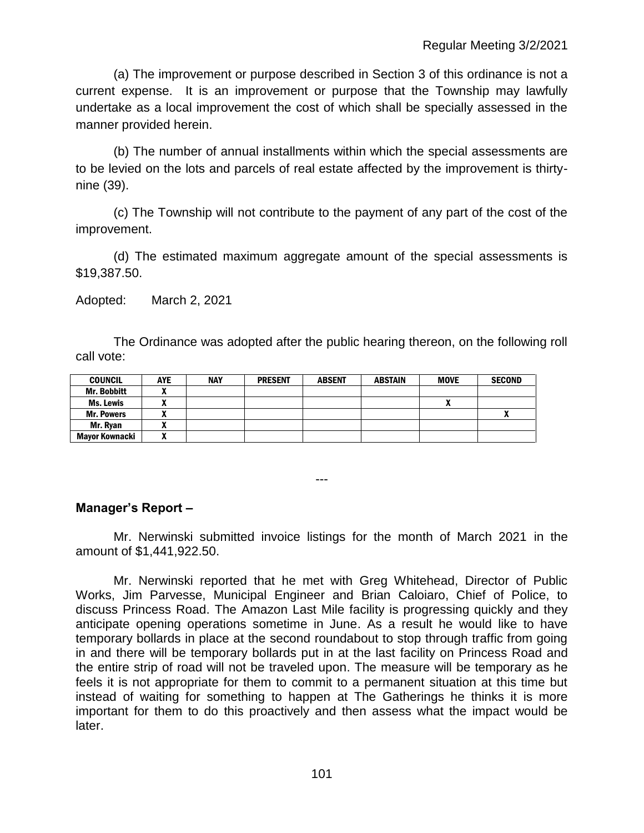(a) The improvement or purpose described in Section 3 of this ordinance is not a current expense. It is an improvement or purpose that the Township may lawfully undertake as a local improvement the cost of which shall be specially assessed in the manner provided herein.

(b) The number of annual installments within which the special assessments are to be levied on the lots and parcels of real estate affected by the improvement is thirtynine (39).

(c) The Township will not contribute to the payment of any part of the cost of the improvement.

(d) The estimated maximum aggregate amount of the special assessments is \$19,387.50.

Adopted: March 2, 2021

The Ordinance was adopted after the public hearing thereon, on the following roll call vote:

| <b>COUNCIL</b>        | <b>AYE</b> | <b>NAY</b> | <b>PRESENT</b> | <b>ABSENT</b> | <b>ABSTAIN</b> | <b>MOVE</b> | <b>SECOND</b> |
|-----------------------|------------|------------|----------------|---------------|----------------|-------------|---------------|
| Mr. Bobbitt           |            |            |                |               |                |             |               |
| Ms. Lewis             |            |            |                |               |                |             |               |
| <b>Mr. Powers</b>     |            |            |                |               |                |             |               |
| Mr. Rvan              |            |            |                |               |                |             |               |
| <b>Mavor Kownacki</b> |            |            |                |               |                |             |               |

**Manager's Report –**

Mr. Nerwinski submitted invoice listings for the month of March 2021 in the amount of \$1,441,922.50.

---

Mr. Nerwinski reported that he met with Greg Whitehead, Director of Public Works, Jim Parvesse, Municipal Engineer and Brian Caloiaro, Chief of Police, to discuss Princess Road. The Amazon Last Mile facility is progressing quickly and they anticipate opening operations sometime in June. As a result he would like to have temporary bollards in place at the second roundabout to stop through traffic from going in and there will be temporary bollards put in at the last facility on Princess Road and the entire strip of road will not be traveled upon. The measure will be temporary as he feels it is not appropriate for them to commit to a permanent situation at this time but instead of waiting for something to happen at The Gatherings he thinks it is more important for them to do this proactively and then assess what the impact would be later.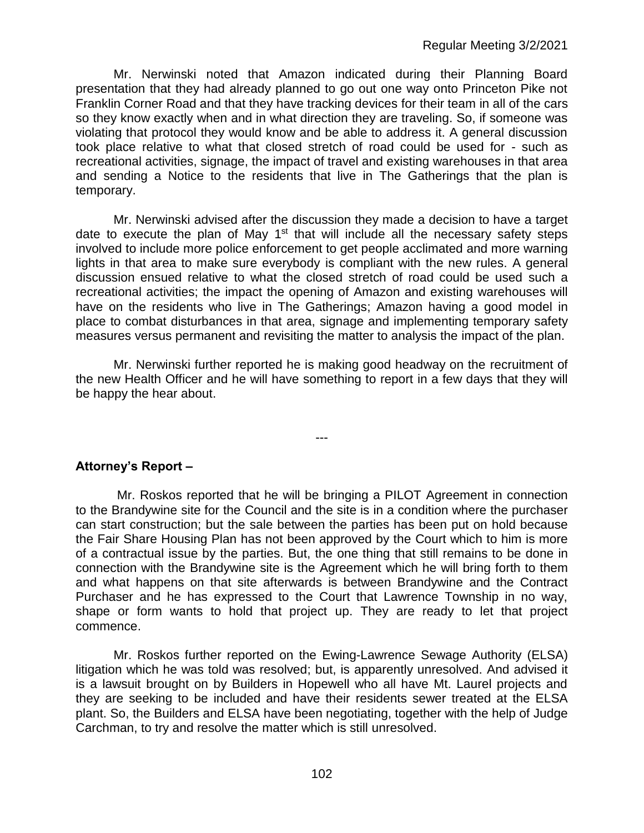Mr. Nerwinski noted that Amazon indicated during their Planning Board presentation that they had already planned to go out one way onto Princeton Pike not Franklin Corner Road and that they have tracking devices for their team in all of the cars so they know exactly when and in what direction they are traveling. So, if someone was violating that protocol they would know and be able to address it. A general discussion took place relative to what that closed stretch of road could be used for - such as recreational activities, signage, the impact of travel and existing warehouses in that area and sending a Notice to the residents that live in The Gatherings that the plan is temporary.

Mr. Nerwinski advised after the discussion they made a decision to have a target date to execute the plan of May  $1<sup>st</sup>$  that will include all the necessary safety steps involved to include more police enforcement to get people acclimated and more warning lights in that area to make sure everybody is compliant with the new rules. A general discussion ensued relative to what the closed stretch of road could be used such a recreational activities; the impact the opening of Amazon and existing warehouses will have on the residents who live in The Gatherings; Amazon having a good model in place to combat disturbances in that area, signage and implementing temporary safety measures versus permanent and revisiting the matter to analysis the impact of the plan.

Mr. Nerwinski further reported he is making good headway on the recruitment of the new Health Officer and he will have something to report in a few days that they will be happy the hear about.

---

### **Attorney's Report –**

Mr. Roskos reported that he will be bringing a PILOT Agreement in connection to the Brandywine site for the Council and the site is in a condition where the purchaser can start construction; but the sale between the parties has been put on hold because the Fair Share Housing Plan has not been approved by the Court which to him is more of a contractual issue by the parties. But, the one thing that still remains to be done in connection with the Brandywine site is the Agreement which he will bring forth to them and what happens on that site afterwards is between Brandywine and the Contract Purchaser and he has expressed to the Court that Lawrence Township in no way, shape or form wants to hold that project up. They are ready to let that project commence.

Mr. Roskos further reported on the Ewing-Lawrence Sewage Authority (ELSA) litigation which he was told was resolved; but, is apparently unresolved. And advised it is a lawsuit brought on by Builders in Hopewell who all have Mt. Laurel projects and they are seeking to be included and have their residents sewer treated at the ELSA plant. So, the Builders and ELSA have been negotiating, together with the help of Judge Carchman, to try and resolve the matter which is still unresolved.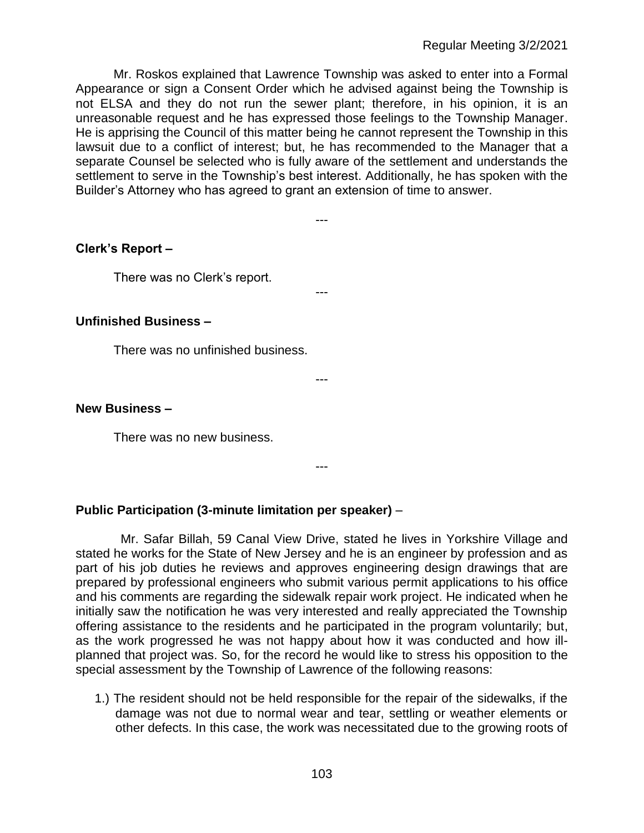Mr. Roskos explained that Lawrence Township was asked to enter into a Formal Appearance or sign a Consent Order which he advised against being the Township is not ELSA and they do not run the sewer plant; therefore, in his opinion, it is an unreasonable request and he has expressed those feelings to the Township Manager. He is apprising the Council of this matter being he cannot represent the Township in this lawsuit due to a conflict of interest; but, he has recommended to the Manager that a separate Counsel be selected who is fully aware of the settlement and understands the settlement to serve in the Township's best interest. Additionally, he has spoken with the Builder's Attorney who has agreed to grant an extension of time to answer.

---

---

---

**Clerk's Report –** 

There was no Clerk's report.

### **Unfinished Business –**

There was no unfinished business.

**New Business –** 

There was no new business.

---

### **Public Participation (3-minute limitation per speaker)** –

Mr. Safar Billah, 59 Canal View Drive, stated he lives in Yorkshire Village and stated he works for the State of New Jersey and he is an engineer by profession and as part of his job duties he reviews and approves engineering design drawings that are prepared by professional engineers who submit various permit applications to his office and his comments are regarding the sidewalk repair work project. He indicated when he initially saw the notification he was very interested and really appreciated the Township offering assistance to the residents and he participated in the program voluntarily; but, as the work progressed he was not happy about how it was conducted and how illplanned that project was. So, for the record he would like to stress his opposition to the special assessment by the Township of Lawrence of the following reasons:

1.) The resident should not be held responsible for the repair of the sidewalks, if the damage was not due to normal wear and tear, settling or weather elements or other defects. In this case, the work was necessitated due to the growing roots of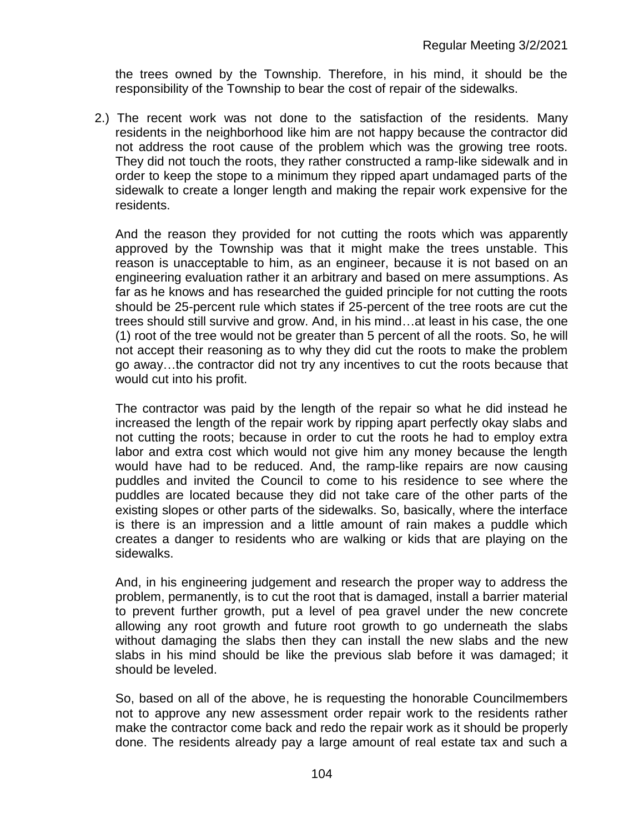the trees owned by the Township. Therefore, in his mind, it should be the responsibility of the Township to bear the cost of repair of the sidewalks.

2.) The recent work was not done to the satisfaction of the residents. Many residents in the neighborhood like him are not happy because the contractor did not address the root cause of the problem which was the growing tree roots. They did not touch the roots, they rather constructed a ramp-like sidewalk and in order to keep the stope to a minimum they ripped apart undamaged parts of the sidewalk to create a longer length and making the repair work expensive for the residents.

And the reason they provided for not cutting the roots which was apparently approved by the Township was that it might make the trees unstable. This reason is unacceptable to him, as an engineer, because it is not based on an engineering evaluation rather it an arbitrary and based on mere assumptions. As far as he knows and has researched the guided principle for not cutting the roots should be 25-percent rule which states if 25-percent of the tree roots are cut the trees should still survive and grow. And, in his mind…at least in his case, the one (1) root of the tree would not be greater than 5 percent of all the roots. So, he will not accept their reasoning as to why they did cut the roots to make the problem go away…the contractor did not try any incentives to cut the roots because that would cut into his profit.

The contractor was paid by the length of the repair so what he did instead he increased the length of the repair work by ripping apart perfectly okay slabs and not cutting the roots; because in order to cut the roots he had to employ extra labor and extra cost which would not give him any money because the length would have had to be reduced. And, the ramp-like repairs are now causing puddles and invited the Council to come to his residence to see where the puddles are located because they did not take care of the other parts of the existing slopes or other parts of the sidewalks. So, basically, where the interface is there is an impression and a little amount of rain makes a puddle which creates a danger to residents who are walking or kids that are playing on the sidewalks.

And, in his engineering judgement and research the proper way to address the problem, permanently, is to cut the root that is damaged, install a barrier material to prevent further growth, put a level of pea gravel under the new concrete allowing any root growth and future root growth to go underneath the slabs without damaging the slabs then they can install the new slabs and the new slabs in his mind should be like the previous slab before it was damaged; it should be leveled.

So, based on all of the above, he is requesting the honorable Councilmembers not to approve any new assessment order repair work to the residents rather make the contractor come back and redo the repair work as it should be properly done. The residents already pay a large amount of real estate tax and such a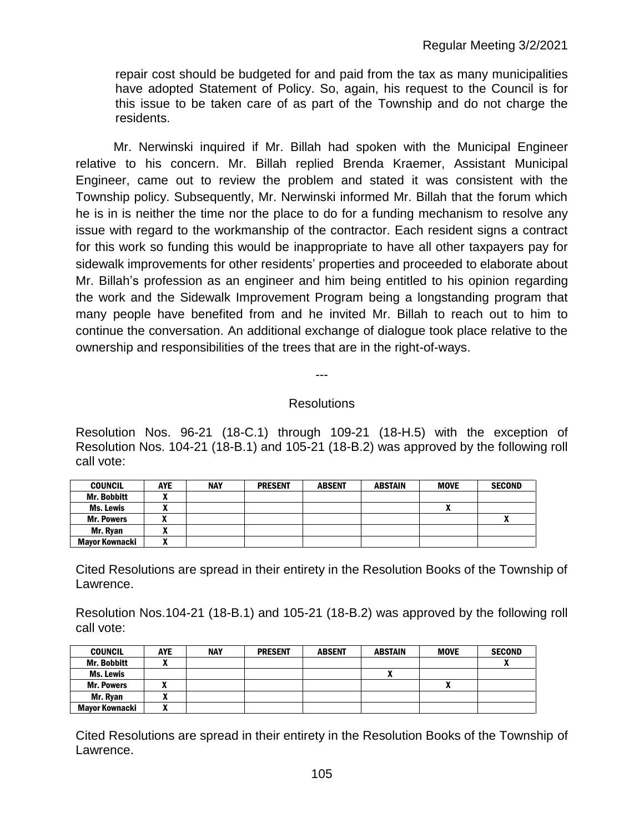repair cost should be budgeted for and paid from the tax as many municipalities have adopted Statement of Policy. So, again, his request to the Council is for this issue to be taken care of as part of the Township and do not charge the residents.

Mr. Nerwinski inquired if Mr. Billah had spoken with the Municipal Engineer relative to his concern. Mr. Billah replied Brenda Kraemer, Assistant Municipal Engineer, came out to review the problem and stated it was consistent with the Township policy. Subsequently, Mr. Nerwinski informed Mr. Billah that the forum which he is in is neither the time nor the place to do for a funding mechanism to resolve any issue with regard to the workmanship of the contractor. Each resident signs a contract for this work so funding this would be inappropriate to have all other taxpayers pay for sidewalk improvements for other residents' properties and proceeded to elaborate about Mr. Billah's profession as an engineer and him being entitled to his opinion regarding the work and the Sidewalk Improvement Program being a longstanding program that many people have benefited from and he invited Mr. Billah to reach out to him to continue the conversation. An additional exchange of dialogue took place relative to the ownership and responsibilities of the trees that are in the right-of-ways.

**Resolutions** 

---

Resolution Nos. 96-21 (18-C.1) through 109-21 (18-H.5) with the exception of Resolution Nos. 104-21 (18-B.1) and 105-21 (18-B.2) was approved by the following roll call vote:

| <b>COUNCIL</b>    | <b>AYE</b> | <b>NAY</b> | <b>PRESENT</b> | <b>ABSENT</b> | ABSTAIN | <b>MOVE</b> | <b>SECOND</b> |
|-------------------|------------|------------|----------------|---------------|---------|-------------|---------------|
| Mr. Bobbitt       |            |            |                |               |         |             |               |
| Ms. Lewis         |            |            |                |               |         | ^           |               |
| <b>Mr. Powers</b> |            |            |                |               |         |             |               |
| Mr. Ryan          |            |            |                |               |         |             |               |
| Mavor Kownacki    |            |            |                |               |         |             |               |

Cited Resolutions are spread in their entirety in the Resolution Books of the Township of Lawrence.

Resolution Nos.104-21 (18-B.1) and 105-21 (18-B.2) was approved by the following roll call vote:

| <b>COUNCIL</b>     | <b>AYE</b> | <b>NAY</b> | <b>PRESENT</b> | <b>ABSENT</b> | <b>ABSTAIN</b> | <b>MOVE</b> | <b>SECOND</b> |
|--------------------|------------|------------|----------------|---------------|----------------|-------------|---------------|
| <b>Mr. Bobbitt</b> |            |            |                |               |                |             |               |
| Ms. Lewis          |            |            |                |               |                |             |               |
| <b>Mr. Powers</b>  |            |            |                |               |                | Λ           |               |
| Mr. Ryan           |            |            |                |               |                |             |               |
| Mayor Kownacki     |            |            |                |               |                |             |               |

Cited Resolutions are spread in their entirety in the Resolution Books of the Township of Lawrence.